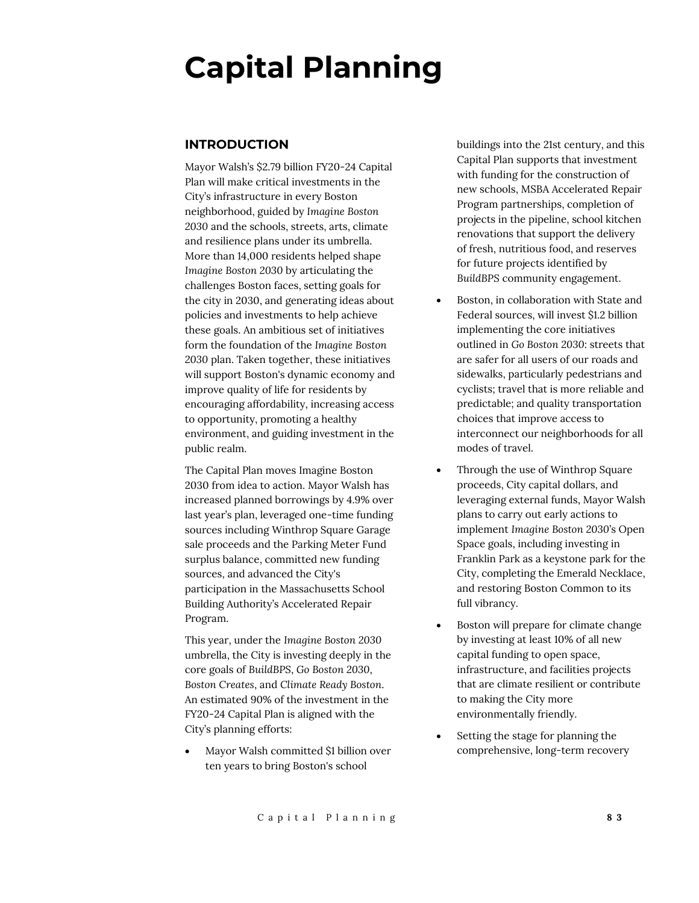## **Capital Planning**

#### **INTRODUCTION**

Mayor Walsh's \$2.79 billion FY20-24 Capital Plan will make critical investments in the City's infrastructure in every Boston neighborhood, guided by *Imagine Boston 2030* and the schools, streets, arts, climate and resilience plans under its umbrella. More than 14,000 residents helped shape *Imagine Boston 2030* by articulating the challenges Boston faces, setting goals for the city in 2030, and generating ideas about policies and investments to help achieve these goals. An ambitious set of initiatives form the foundation of the *Imagine Boston 2030* plan. Taken together, these initiatives will support Boston's dynamic economy and improve quality of life for residents by encouraging affordability, increasing access to opportunity, promoting a healthy environment, and guiding investment in the public realm.

The Capital Plan moves Imagine Boston 2030 from idea to action. Mayor Walsh has increased planned borrowings by 4.9% over last year's plan, leveraged one-time funding sources including Winthrop Square Garage sale proceeds and the Parking Meter Fund surplus balance, committed new funding sources, and advanced the City's participation in the Massachusetts School Building Authority's Accelerated Repair Program.

This year, under the *Imagine Boston 2030* umbrella, the City is investing deeply in the core goals of *BuildBPS*, *Go Boston 2030*, *Boston Creates*, and *Climate Ready Boston*. An estimated 90% of the investment in the FY20-24 Capital Plan is aligned with the City's planning efforts:

 Mayor Walsh committed \$1 billion over ten years to bring Boston's school

buildings into the 21st century, and this Capital Plan supports that investment with funding for the construction of new schools, MSBA Accelerated Repair Program partnerships, completion of projects in the pipeline, school kitchen renovations that support the delivery of fresh, nutritious food, and reserves for future projects identified by *BuildBPS* community engagement.

- Boston, in collaboration with State and Federal sources, will invest \$1.2 billion implementing the core initiatives outlined in *Go Boston 2030*: streets that are safer for all users of our roads and sidewalks, particularly pedestrians and cyclists; travel that is more reliable and predictable; and quality transportation choices that improve access to interconnect our neighborhoods for all modes of travel.
- Through the use of Winthrop Square proceeds, City capital dollars, and leveraging external funds, Mayor Walsh plans to carry out early actions to implement *Imagine Boston 2030*'s Open Space goals, including investing in Franklin Park as a keystone park for the City, completing the Emerald Necklace, and restoring Boston Common to its full vibrancy.
- Boston will prepare for climate change by investing at least 10% of all new capital funding to open space, infrastructure, and facilities projects that are climate resilient or contribute to making the City more environmentally friendly.
- Setting the stage for planning the comprehensive, long-term recovery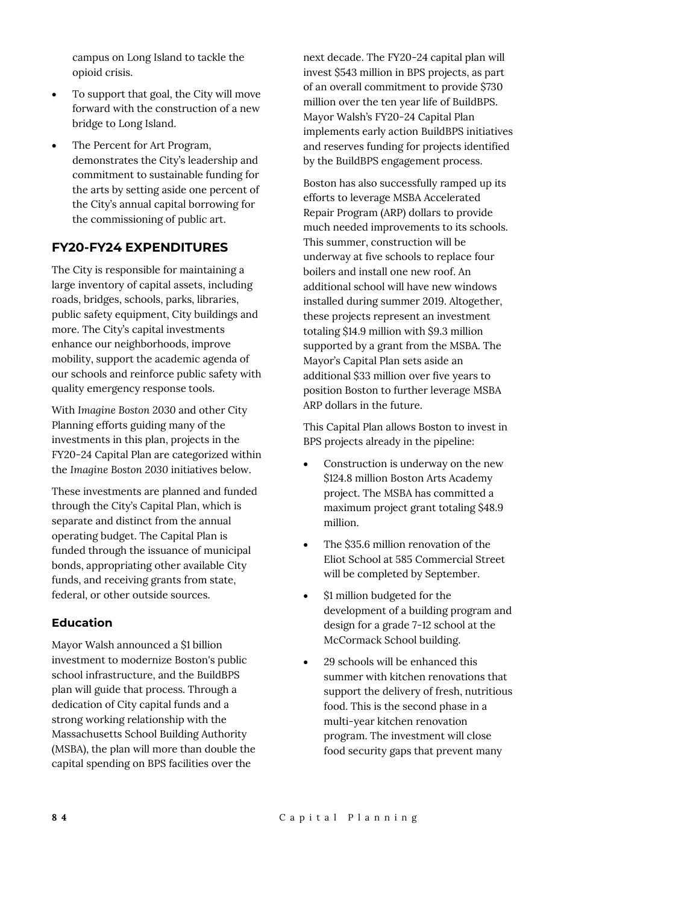campus on Long Island to tackle the opioid crisis.

- To support that goal, the City will move forward with the construction of a new bridge to Long Island.
- The Percent for Art Program, demonstrates the City's leadership and commitment to sustainable funding for the arts by setting aside one percent of the City's annual capital borrowing for the commissioning of public art.

#### **FY20-FY24 EXPENDITURES**

The City is responsible for maintaining a large inventory of capital assets, including roads, bridges, schools, parks, libraries, public safety equipment, City buildings and more. The City's capital investments enhance our neighborhoods, improve mobility, support the academic agenda of our schools and reinforce public safety with quality emergency response tools.

With *Imagine Boston 2030* and other City Planning efforts guiding many of the investments in this plan, projects in the FY20-24 Capital Plan are categorized within the *Imagine Boston 2030* initiatives below.

These investments are planned and funded through the City's Capital Plan, which is separate and distinct from the annual operating budget. The Capital Plan is funded through the issuance of municipal bonds, appropriating other available City funds, and receiving grants from state, federal, or other outside sources.

#### **Education**

Mayor Walsh announced a \$1 billion investment to modernize Boston's public school infrastructure, and the BuildBPS plan will guide that process. Through a dedication of City capital funds and a strong working relationship with the Massachusetts School Building Authority (MSBA), the plan will more than double the capital spending on BPS facilities over the

next decade. The FY20-24 capital plan will invest \$543 million in BPS projects, as part of an overall commitment to provide \$730 million over the ten year life of BuildBPS. Mayor Walsh's FY20-24 Capital Plan implements early action BuildBPS initiatives and reserves funding for projects identified by the BuildBPS engagement process.

Boston has also successfully ramped up its efforts to leverage MSBA Accelerated Repair Program (ARP) dollars to provide much needed improvements to its schools. This summer, construction will be underway at five schools to replace four boilers and install one new roof. An additional school will have new windows installed during summer 2019. Altogether, these projects represent an investment totaling \$14.9 million with \$9.3 million supported by a grant from the MSBA. The Mayor's Capital Plan sets aside an additional \$33 million over five years to position Boston to further leverage MSBA ARP dollars in the future.

This Capital Plan allows Boston to invest in BPS projects already in the pipeline:

- Construction is underway on the new \$124.8 million Boston Arts Academy project. The MSBA has committed a maximum project grant totaling \$48.9 million.
- The \$35.6 million renovation of the Eliot School at 585 Commercial Street will be completed by September.
- \$1 million budgeted for the development of a building program and design for a grade 7-12 school at the McCormack School building.
- 29 schools will be enhanced this summer with kitchen renovations that support the delivery of fresh, nutritious food. This is the second phase in a multi-year kitchen renovation program. The investment will close food security gaps that prevent many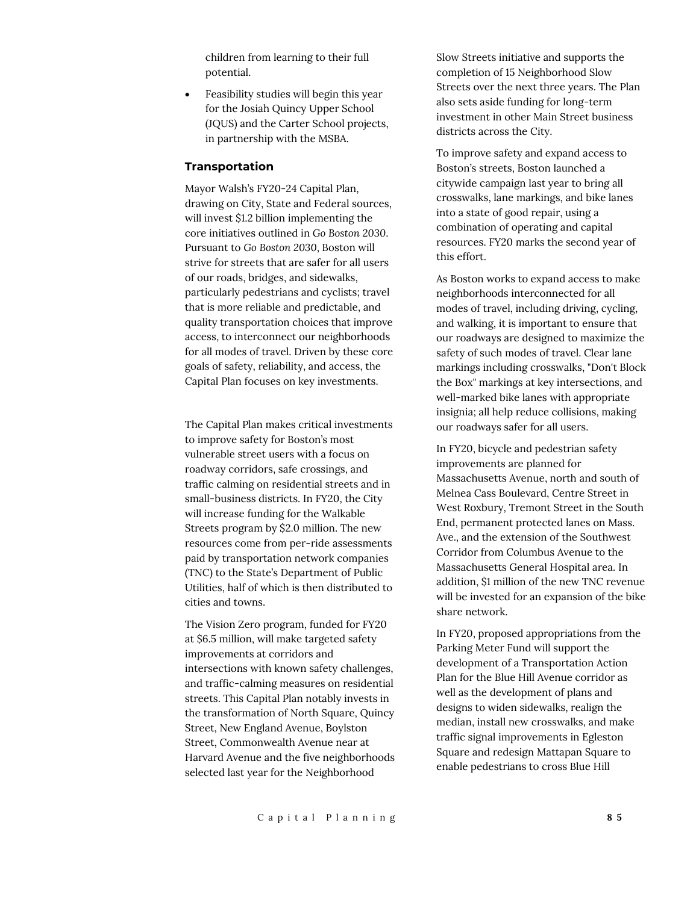children from learning to their full potential.

 Feasibility studies will begin this year for the Josiah Quincy Upper School (JQUS) and the Carter School projects, in partnership with the MSBA.

#### **Transportation**

Mayor Walsh's FY20-24 Capital Plan, drawing on City, State and Federal sources, will invest \$1.2 billion implementing the core initiatives outlined in *Go Boston 2030*. Pursuant to *Go Boston 2030*, Boston will strive for streets that are safer for all users of our roads, bridges, and sidewalks, particularly pedestrians and cyclists; travel that is more reliable and predictable, and quality transportation choices that improve access, to interconnect our neighborhoods for all modes of travel. Driven by these core goals of safety, reliability, and access, the Capital Plan focuses on key investments.

The Capital Plan makes critical investments to improve safety for Boston's most vulnerable street users with a focus on roadway corridors, safe crossings, and traffic calming on residential streets and in small-business districts. In FY20, the City will increase funding for the Walkable Streets program by \$2.0 million. The new resources come from per-ride assessments paid by transportation network companies (TNC) to the State's Department of Public Utilities, half of which is then distributed to cities and towns.

The Vision Zero program, funded for FY20 at \$6.5 million, will make targeted safety improvements at corridors and intersections with known safety challenges, and traffic-calming measures on residential streets. This Capital Plan notably invests in the transformation of North Square, Quincy Street, New England Avenue, Boylston Street, Commonwealth Avenue near at Harvard Avenue and the five neighborhoods selected last year for the Neighborhood

Slow Streets initiative and supports the completion of 15 Neighborhood Slow Streets over the next three years. The Plan also sets aside funding for long-term investment in other Main Street business districts across the City.

To improve safety and expand access to Boston's streets, Boston launched a citywide campaign last year to bring all crosswalks, lane markings, and bike lanes into a state of good repair, using a combination of operating and capital resources. FY20 marks the second year of this effort.

As Boston works to expand access to make neighborhoods interconnected for all modes of travel, including driving, cycling, and walking, it is important to ensure that our roadways are designed to maximize the safety of such modes of travel. Clear lane markings including crosswalks, "Don't Block the Box" markings at key intersections, and well-marked bike lanes with appropriate insignia; all help reduce collisions, making our roadways safer for all users.

In FY20, bicycle and pedestrian safety improvements are planned for Massachusetts Avenue, north and south of Melnea Cass Boulevard, Centre Street in West Roxbury, Tremont Street in the South End, permanent protected lanes on Mass. Ave., and the extension of the Southwest Corridor from Columbus Avenue to the Massachusetts General Hospital area. In addition, \$1 million of the new TNC revenue will be invested for an expansion of the bike share network.

In FY20, proposed appropriations from the Parking Meter Fund will support the development of a Transportation Action Plan for the Blue Hill Avenue corridor as well as the development of plans and designs to widen sidewalks, realign the median, install new crosswalks, and make traffic signal improvements in Egleston Square and redesign Mattapan Square to enable pedestrians to cross Blue Hill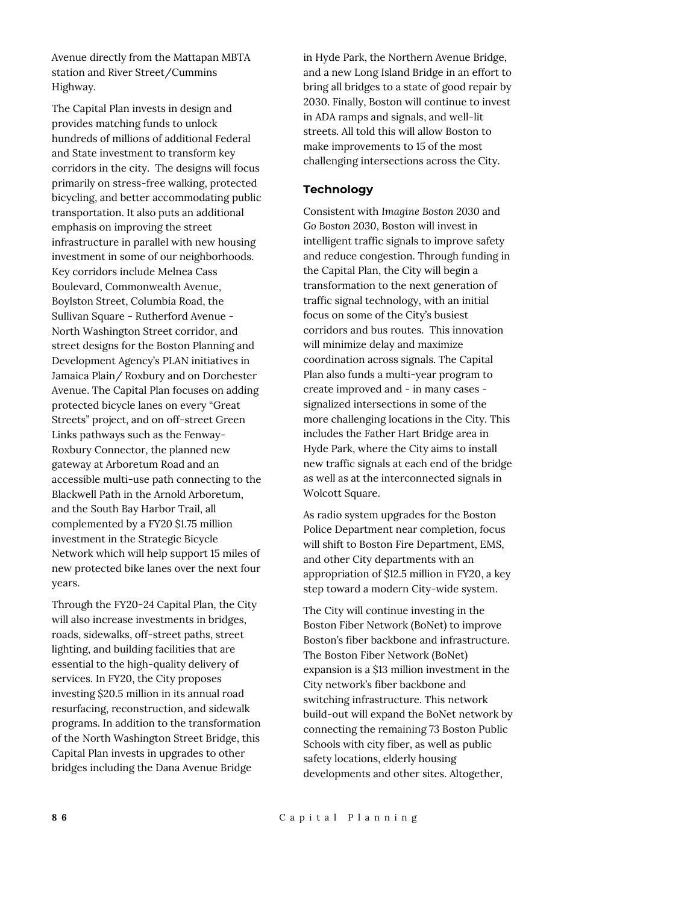Avenue directly from the Mattapan MBTA station and River Street/Cummins Highway.

The Capital Plan invests in design and provides matching funds to unlock hundreds of millions of additional Federal and State investment to transform key corridors in the city. The designs will focus primarily on stress-free walking, protected bicycling, and better accommodating public transportation. It also puts an additional emphasis on improving the street infrastructure in parallel with new housing investment in some of our neighborhoods. Key corridors include Melnea Cass Boulevard, Commonwealth Avenue, Boylston Street, Columbia Road, the Sullivan Square - Rutherford Avenue - North Washington Street corridor, and street designs for the Boston Planning and Development Agency's PLAN initiatives in Jamaica Plain/ Roxbury and on Dorchester Avenue. The Capital Plan focuses on adding protected bicycle lanes on every "Great Streets" project, and on off-street Green Links pathways such as the Fenway-Roxbury Connector, the planned new gateway at Arboretum Road and an accessible multi-use path connecting to the Blackwell Path in the Arnold Arboretum, and the South Bay Harbor Trail, all complemented by a FY20 \$1.75 million investment in the Strategic Bicycle Network which will help support 15 miles of new protected bike lanes over the next four years.

Through the FY20-24 Capital Plan, the City will also increase investments in bridges, roads, sidewalks, off-street paths, street lighting, and building facilities that are essential to the high-quality delivery of services. In FY20, the City proposes investing \$20.5 million in its annual road resurfacing, reconstruction, and sidewalk programs. In addition to the transformation of the North Washington Street Bridge, this Capital Plan invests in upgrades to other bridges including the Dana Avenue Bridge

in Hyde Park, the Northern Avenue Bridge, and a new Long Island Bridge in an effort to bring all bridges to a state of good repair by 2030. Finally, Boston will continue to invest in ADA ramps and signals, and well-lit streets. All told this will allow Boston to make improvements to 15 of the most challenging intersections across the City.

#### **Technology**

Consistent with *Imagine Boston 2030* and *Go Boston 2030*, Boston will invest in intelligent traffic signals to improve safety and reduce congestion. Through funding in the Capital Plan, the City will begin a transformation to the next generation of traffic signal technology, with an initial focus on some of the City's busiest corridors and bus routes. This innovation will minimize delay and maximize coordination across signals. The Capital Plan also funds a multi-year program to create improved and - in many cases signalized intersections in some of the more challenging locations in the City. This includes the Father Hart Bridge area in Hyde Park, where the City aims to install new traffic signals at each end of the bridge as well as at the interconnected signals in Wolcott Square.

As radio system upgrades for the Boston Police Department near completion, focus will shift to Boston Fire Department, EMS, and other City departments with an appropriation of \$12.5 million in FY20, a key step toward a modern City-wide system.

The City will continue investing in the Boston Fiber Network (BoNet) to improve Boston's fiber backbone and infrastructure. The Boston Fiber Network (BoNet) expansion is a \$13 million investment in the City network's fiber backbone and switching infrastructure. This network build-out will expand the BoNet network by connecting the remaining 73 Boston Public Schools with city fiber, as well as public safety locations, elderly housing developments and other sites. Altogether,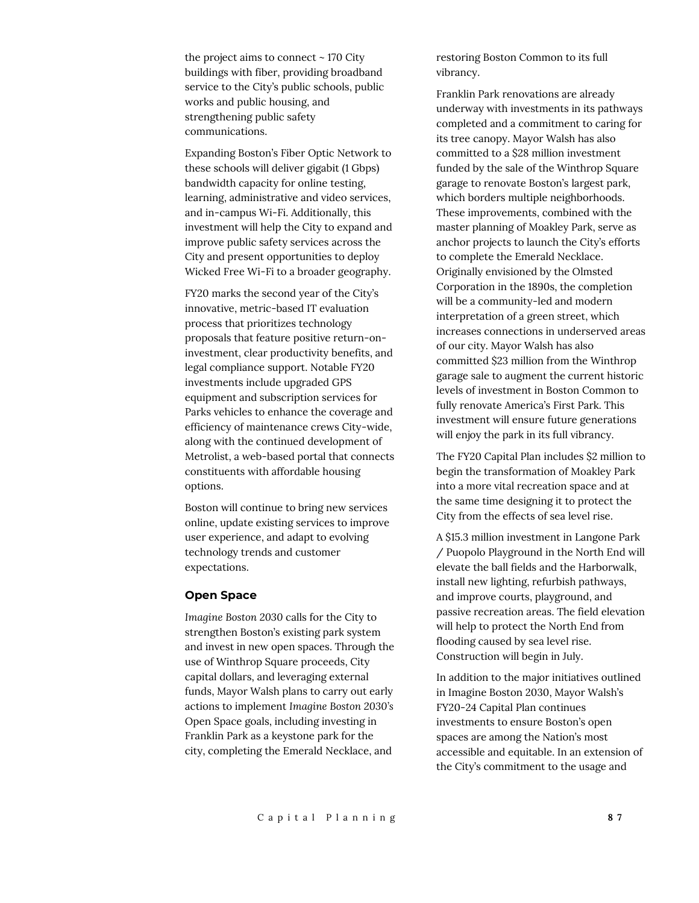the project aims to connect  $\sim$  170 City buildings with fiber, providing broadband service to the City's public schools, public works and public housing, and strengthening public safety communications.

Expanding Boston's Fiber Optic Network to these schools will deliver gigabit (1 Gbps) bandwidth capacity for online testing, learning, administrative and video services, and in-campus Wi-Fi. Additionally, this investment will help the City to expand and improve public safety services across the City and present opportunities to deploy Wicked Free Wi-Fi to a broader geography.

FY20 marks the second year of the City's innovative, metric-based IT evaluation process that prioritizes technology proposals that feature positive return-oninvestment, clear productivity benefits, and legal compliance support. Notable FY20 investments include upgraded GPS equipment and subscription services for Parks vehicles to enhance the coverage and efficiency of maintenance crews City-wide, along with the continued development of Metrolist, a web-based portal that connects constituents with affordable housing options.

Boston will continue to bring new services online, update existing services to improve user experience, and adapt to evolving technology trends and customer expectations.

#### **Open Space**

*Imagine Boston 2030* calls for the City to strengthen Boston's existing park system and invest in new open spaces. Through the use of Winthrop Square proceeds, City capital dollars, and leveraging external funds, Mayor Walsh plans to carry out early actions to implement *Imagine Boston 2030's* Open Space goals, including investing in Franklin Park as a keystone park for the city, completing the Emerald Necklace, and

restoring Boston Common to its full vibrancy.

Franklin Park renovations are already underway with investments in its pathways completed and a commitment to caring for its tree canopy. Mayor Walsh has also committed to a \$28 million investment funded by the sale of the Winthrop Square garage to renovate Boston's largest park, which borders multiple neighborhoods. These improvements, combined with the master planning of Moakley Park, serve as anchor projects to launch the City's efforts to complete the Emerald Necklace. Originally envisioned by the Olmsted Corporation in the 1890s, the completion will be a community-led and modern interpretation of a green street, which increases connections in underserved areas of our city. Mayor Walsh has also committed \$23 million from the Winthrop garage sale to augment the current historic levels of investment in Boston Common to fully renovate America's First Park. This investment will ensure future generations will enjoy the park in its full vibrancy.

The FY20 Capital Plan includes \$2 million to begin the transformation of Moakley Park into a more vital recreation space and at the same time designing it to protect the City from the effects of sea level rise.

A \$15.3 million investment in Langone Park / Puopolo Playground in the North End will elevate the ball fields and the Harborwalk, install new lighting, refurbish pathways, and improve courts, playground, and passive recreation areas. The field elevation will help to protect the North End from flooding caused by sea level rise. Construction will begin in July.

In addition to the major initiatives outlined in Imagine Boston 2030, Mayor Walsh's FY20-24 Capital Plan continues investments to ensure Boston's open spaces are among the Nation's most accessible and equitable. In an extension of the City's commitment to the usage and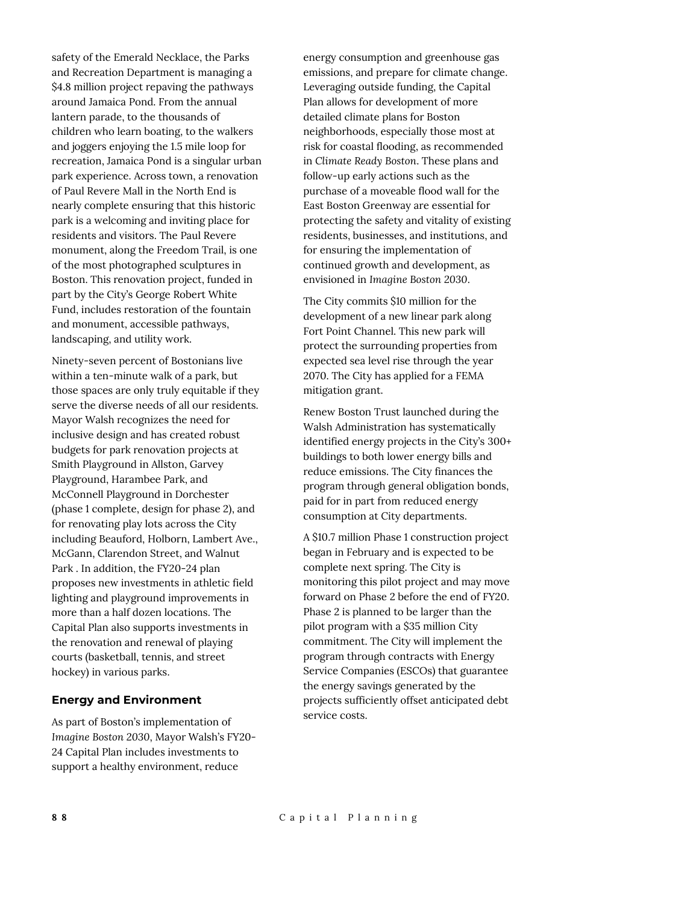safety of the Emerald Necklace, the Parks and Recreation Department is managing a \$4.8 million project repaving the pathways around Jamaica Pond. From the annual lantern parade, to the thousands of children who learn boating, to the walkers and joggers enjoying the 1.5 mile loop for recreation, Jamaica Pond is a singular urban park experience. Across town, a renovation of Paul Revere Mall in the North End is nearly complete ensuring that this historic park is a welcoming and inviting place for residents and visitors. The Paul Revere monument, along the Freedom Trail, is one of the most photographed sculptures in Boston. This renovation project, funded in part by the City's George Robert White Fund, includes restoration of the fountain and monument, accessible pathways, landscaping, and utility work.

Ninety-seven percent of Bostonians live within a ten-minute walk of a park, but those spaces are only truly equitable if they serve the diverse needs of all our residents. Mayor Walsh recognizes the need for inclusive design and has created robust budgets for park renovation projects at Smith Playground in Allston, Garvey Playground, Harambee Park, and McConnell Playground in Dorchester (phase 1 complete, design for phase 2), and for renovating play lots across the City including Beauford, Holborn, Lambert Ave., McGann, Clarendon Street, and Walnut Park . In addition, the FY20-24 plan proposes new investments in athletic field lighting and playground improvements in more than a half dozen locations. The Capital Plan also supports investments in the renovation and renewal of playing courts (basketball, tennis, and street hockey) in various parks.

#### **Energy and Environment**

As part of Boston's implementation of *Imagine Boston 2030*, Mayor Walsh's FY20- 24 Capital Plan includes investments to support a healthy environment, reduce

energy consumption and greenhouse gas emissions, and prepare for climate change. Leveraging outside funding, the Capital Plan allows for development of more detailed climate plans for Boston neighborhoods, especially those most at risk for coastal flooding, as recommended in *Climate Ready Boston*. These plans and follow-up early actions such as the purchase of a moveable flood wall for the East Boston Greenway are essential for protecting the safety and vitality of existing residents, businesses, and institutions, and for ensuring the implementation of continued growth and development, as envisioned in *Imagine Boston 2030*.

The City commits \$10 million for the development of a new linear park along Fort Point Channel. This new park will protect the surrounding properties from expected sea level rise through the year 2070. The City has applied for a FEMA mitigation grant.

Renew Boston Trust launched during the Walsh Administration has systematically identified energy projects in the City's 300+ buildings to both lower energy bills and reduce emissions. The City finances the program through general obligation bonds, paid for in part from reduced energy consumption at City departments.

A \$10.7 million Phase 1 construction project began in February and is expected to be complete next spring. The City is monitoring this pilot project and may move forward on Phase 2 before the end of FY20. Phase 2 is planned to be larger than the pilot program with a \$35 million City commitment. The City will implement the program through contracts with Energy Service Companies (ESCOs) that guarantee the energy savings generated by the projects sufficiently offset anticipated debt service costs.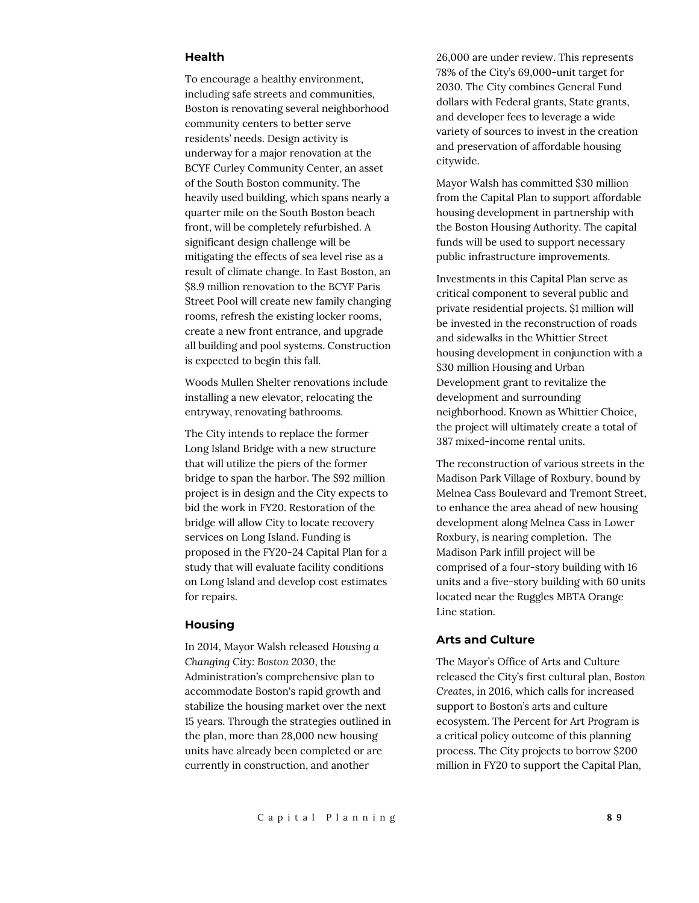#### **Health**

To encourage a healthy environment, including safe streets and communities, Boston is renovating several neighborhood community centers to better serve residents' needs. Design activity is underway for a major renovation at the BCYF Curley Community Center, an asset of the South Boston community. The heavily used building, which spans nearly a quarter mile on the South Boston beach front, will be completely refurbished. A significant design challenge will be mitigating the effects of sea level rise as a result of climate change. In East Boston, an \$8.9 million renovation to the BCYF Paris Street Pool will create new family changing rooms, refresh the existing locker rooms, create a new front entrance, and upgrade all building and pool systems. Construction is expected to begin this fall.

Woods Mullen Shelter renovations include installing a new elevator, relocating the entryway, renovating bathrooms.

The City intends to replace the former Long Island Bridge with a new structure that will utilize the piers of the former bridge to span the harbor. The \$92 million project is in design and the City expects to bid the work in FY20. Restoration of the bridge will allow City to locate recovery services on Long Island. Funding is proposed in the FY20-24 Capital Plan for a study that will evaluate facility conditions on Long Island and develop cost estimates for repairs.

#### **Housing**

In 2014, Mayor Walsh released *Housing a Changing City: Boston 2030*, the Administration's comprehensive plan to accommodate Boston's rapid growth and stabilize the housing market over the next 15 years. Through the strategies outlined in the plan, more than 28,000 new housing units have already been completed or are currently in construction, and another

26,000 are under review. This represents 78% of the City's 69,000-unit target for 2030. The City combines General Fund dollars with Federal grants, State grants, and developer fees to leverage a wide variety of sources to invest in the creation and preservation of affordable housing citywide.

Mayor Walsh has committed \$30 million from the Capital Plan to support affordable housing development in partnership with the Boston Housing Authority. The capital funds will be used to support necessary public infrastructure improvements.

Investments in this Capital Plan serve as critical component to several public and private residential projects. \$1 million will be invested in the reconstruction of roads and sidewalks in the Whittier Street housing development in conjunction with a \$30 million Housing and Urban Development grant to revitalize the development and surrounding neighborhood. Known as Whittier Choice, the project will ultimately create a total of 387 mixed-income rental units.

The reconstruction of various streets in the Madison Park Village of Roxbury, bound by Melnea Cass Boulevard and Tremont Street, to enhance the area ahead of new housing development along Melnea Cass in Lower Roxbury, is nearing completion. The Madison Park infill project will be comprised of a four-story building with 16 units and a five-story building with 60 units located near the Ruggles MBTA Orange Line station.

#### **Arts and Culture**

The Mayor's Office of Arts and Culture released the City's first cultural plan, *Boston Creates*, in 2016, which calls for increased support to Boston's arts and culture ecosystem. The Percent for Art Program is a critical policy outcome of this planning process. The City projects to borrow \$200 million in FY20 to support the Capital Plan,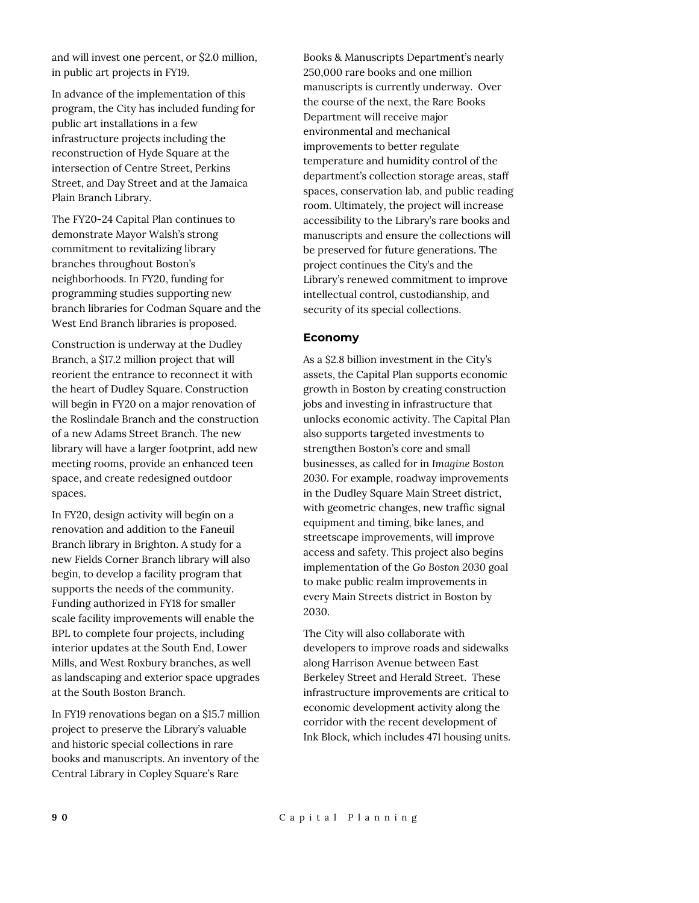and will invest one percent, or \$2.0 million, in public art projects in FY19.

In advance of the implementation of this program, the City has included funding for public art installations in a few infrastructure projects including the reconstruction of Hyde Square at the intersection of Centre Street, Perkins Street, and Day Street and at the Jamaica Plain Branch Library.

The FY20-24 Capital Plan continues to demonstrate Mayor Walsh's strong commitment to revitalizing library branches throughout Boston's neighborhoods. In FY20, funding for programming studies supporting new branch libraries for Codman Square and the West End Branch libraries is proposed.

Construction is underway at the Dudley Branch, a \$17.2 million project that will reorient the entrance to reconnect it with the heart of Dudley Square. Construction will begin in FY20 on a major renovation of the Roslindale Branch and the construction of a new Adams Street Branch. The new library will have a larger footprint, add new meeting rooms, provide an enhanced teen space, and create redesigned outdoor spaces.

In FY20, design activity will begin on a renovation and addition to the Faneuil Branch library in Brighton. A study for a new Fields Corner Branch library will also begin, to develop a facility program that supports the needs of the community. Funding authorized in FY18 for smaller scale facility improvements will enable the BPL to complete four projects, including interior updates at the South End, Lower Mills, and West Roxbury branches, as well as landscaping and exterior space upgrades at the South Boston Branch.

In FY19 renovations began on a \$15.7 million project to preserve the Library's valuable and historic special collections in rare books and manuscripts. An inventory of the Central Library in Copley Square's Rare

Books & Manuscripts Department's nearly 250,000 rare books and one million manuscripts is currently underway. Over the course of the next, the Rare Books Department will receive major environmental and mechanical improvements to better regulate temperature and humidity control of the department's collection storage areas, staff spaces, conservation lab, and public reading room. Ultimately, the project will increase accessibility to the Library's rare books and manuscripts and ensure the collections will be preserved for future generations. The project continues the City's and the Library's renewed commitment to improve intellectual control, custodianship, and security of its special collections.

#### **Economy**

As a \$2.8 billion investment in the City's assets, the Capital Plan supports economic growth in Boston by creating construction jobs and investing in infrastructure that unlocks economic activity. The Capital Plan also supports targeted investments to strengthen Boston's core and small businesses, as called for in *Imagine Boston 2030*. For example, roadway improvements in the Dudley Square Main Street district, with geometric changes, new traffic signal equipment and timing, bike lanes, and streetscape improvements, will improve access and safety. This project also begins implementation of the *Go Boston 2030* goal to make public realm improvements in every Main Streets district in Boston by 2030.

The City will also collaborate with developers to improve roads and sidewalks along Harrison Avenue between East Berkeley Street and Herald Street. These infrastructure improvements are critical to economic development activity along the corridor with the recent development of Ink Block, which includes 471 housing units.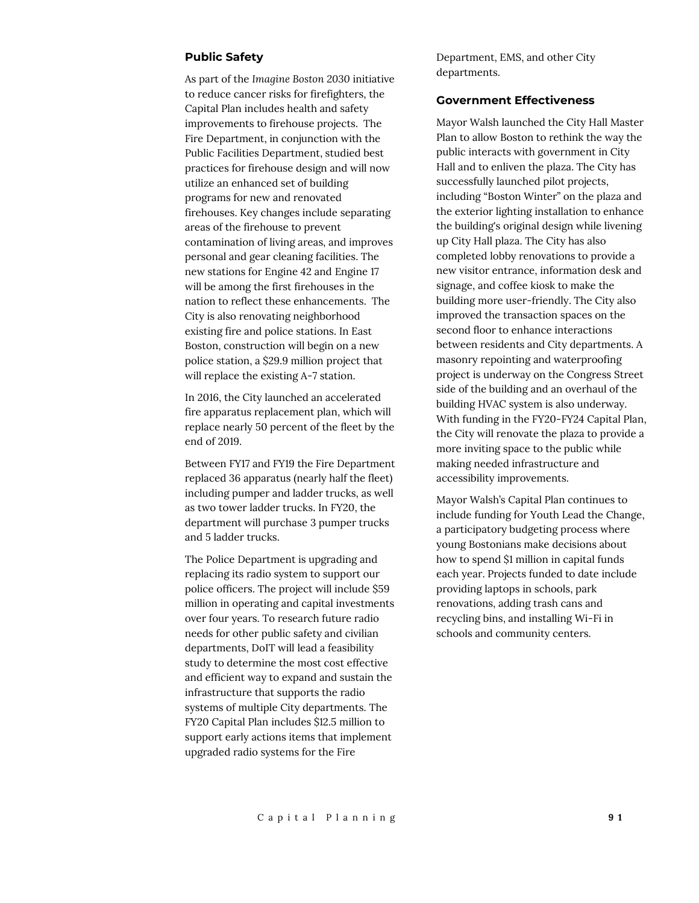#### **Public Safety**

As part of the *Imagine Boston 2030* initiative to reduce cancer risks for firefighters, the Capital Plan includes health and safety improvements to firehouse projects. The Fire Department, in conjunction with the Public Facilities Department, studied best practices for firehouse design and will now utilize an enhanced set of building programs for new and renovated firehouses. Key changes include separating areas of the firehouse to prevent contamination of living areas, and improves personal and gear cleaning facilities. The new stations for Engine 42 and Engine 17 will be among the first firehouses in the nation to reflect these enhancements. The City is also renovating neighborhood existing fire and police stations. In East Boston, construction will begin on a new police station, a \$29.9 million project that will replace the existing A-7 station.

In 2016, the City launched an accelerated fire apparatus replacement plan, which will replace nearly 50 percent of the fleet by the end of 2019.

Between FY17 and FY19 the Fire Department replaced 36 apparatus (nearly half the fleet) including pumper and ladder trucks, as well as two tower ladder trucks. In FY20, the department will purchase 3 pumper trucks and 5 ladder trucks.

The Police Department is upgrading and replacing its radio system to support our police officers. The project will include \$59 million in operating and capital investments over four years. To research future radio needs for other public safety and civilian departments, DoIT will lead a feasibility study to determine the most cost effective and efficient way to expand and sustain the infrastructure that supports the radio systems of multiple City departments. The FY20 Capital Plan includes \$12.5 million to support early actions items that implement upgraded radio systems for the Fire

Department, EMS, and other City departments.

#### **Government Effectiveness**

Mayor Walsh launched the City Hall Master Plan to allow Boston to rethink the way the public interacts with government in City Hall and to enliven the plaza. The City has successfully launched pilot projects, including "Boston Winter" on the plaza and the exterior lighting installation to enhance the building's original design while livening up City Hall plaza. The City has also completed lobby renovations to provide a new visitor entrance, information desk and signage, and coffee kiosk to make the building more user-friendly. The City also improved the transaction spaces on the second floor to enhance interactions between residents and City departments. A masonry repointing and waterproofing project is underway on the Congress Street side of the building and an overhaul of the building HVAC system is also underway. With funding in the FY20-FY24 Capital Plan, the City will renovate the plaza to provide a more inviting space to the public while making needed infrastructure and accessibility improvements.

Mayor Walsh's Capital Plan continues to include funding for Youth Lead the Change, a participatory budgeting process where young Bostonians make decisions about how to spend \$1 million in capital funds each year. Projects funded to date include providing laptops in schools, park renovations, adding trash cans and recycling bins, and installing Wi-Fi in schools and community centers.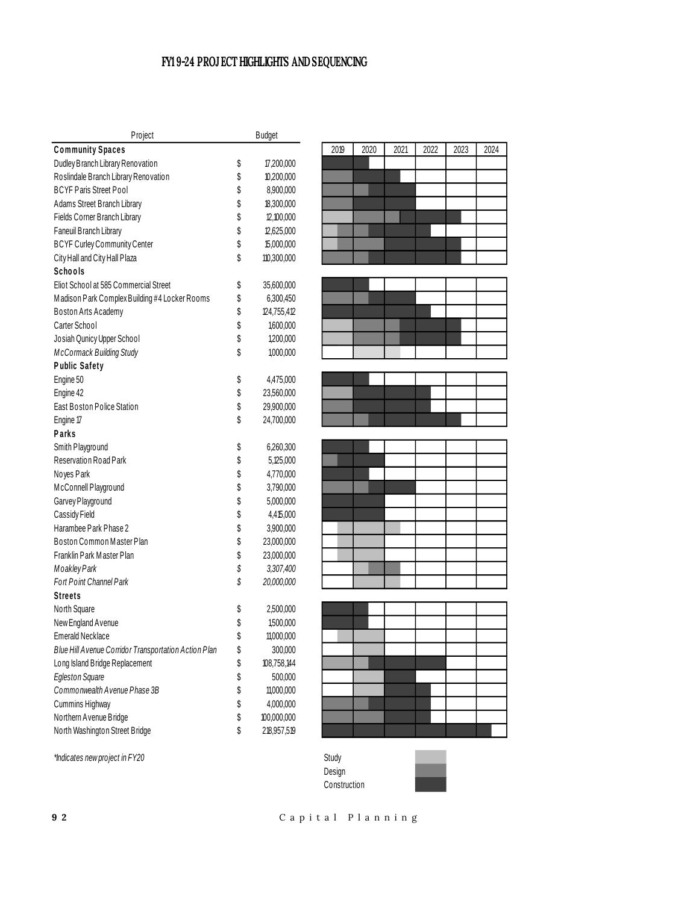#### **FY1 9-24 PROJECT HIGHLIGHTS AND SEQUENCING**

| Project                                              | <b>Budget</b>     |
|------------------------------------------------------|-------------------|
| <b>Community Spaces</b>                              |                   |
| Dudley Branch Library Renovation                     | \$<br>17,200,000  |
| Roslindale Branch Library Renovation                 | \$<br>10,200,000  |
| <b>BCYF Paris Street Pool</b>                        | \$<br>8,900,000   |
| Adams Street Branch Library                          | \$<br>18,300,000  |
| Fields Corner Branch Library                         | \$<br>12,100,000  |
| Faneuil Branch Library                               | \$<br>12,625,000  |
| <b>BCYF Curley Community Center</b>                  | \$<br>15,000,000  |
| City Hall and City Hall Plaza                        | \$<br>110,300,000 |
| Schools                                              |                   |
| Eliot School at 585 Commercial Street                | \$<br>35,600,000  |
| Madison Park Complex Building #4 Locker Rooms        | \$<br>6,300,450   |
| Boston Arts Academy                                  | \$<br>124,755,412 |
| Carter School                                        | \$<br>1,600,000   |
| Josiah Qunicy Upper School                           | \$<br>1,200,000   |
| <b>McCormack Building Study</b>                      | \$<br>1,000,000   |
| <b>Public Safety</b>                                 |                   |
| Engine 50                                            | \$<br>4,475,000   |
| Engine 42                                            | \$<br>23,560,000  |
| East Boston Police Station                           | \$<br>29,900,000  |
| Engine 17                                            | \$<br>24,700,000  |
| Parks                                                |                   |
| Smith Playground                                     | \$<br>6,260,300   |
| Reservation Road Park                                | \$<br>5,125,000   |
| Noyes Park                                           | \$<br>4,770,000   |
| McConnell Playground                                 | \$<br>3,790,000   |
| Garvey Playground                                    | \$<br>5,000,000   |
| Cassidy Field                                        | \$<br>4,415,000   |
| Harambee Park Phase 2                                | \$<br>3,900,000   |
| Boston Common Master Plan                            | \$<br>23,000,000  |
| Franklin Park Master Plan                            | \$<br>23,000,000  |
| Moakley Park                                         | \$<br>3,307,400   |
| Fort Point Channel Park                              | \$<br>20,000,000  |
| Streets                                              |                   |
| North Square                                         | \$<br>2,500,000   |
| New England Avenue                                   | \$<br>1,500,000   |
| <b>Emerald Necklace</b>                              | \$<br>11,000,000  |
| Blue Hill Avenue Corridor Transportation Action Plan | \$<br>300,000     |
| Long Island Bridge Replacement                       | \$<br>108,758,144 |
| <b>Egleston Square</b>                               | \$<br>500,000     |
| Commonwealth Avenue Phase 3B                         | \$<br>11,000,000  |
| Cummins Highway                                      | \$<br>4,000,000   |
| Northern Avenue Bridge                               | \$<br>100,000,000 |
| North Washington Street Bridge                       | \$<br>218,957,519 |



|  |  | _____ |  |
|--|--|-------|--|
|  |  |       |  |



*\*Indicates new project in FY20* Study

Design Construction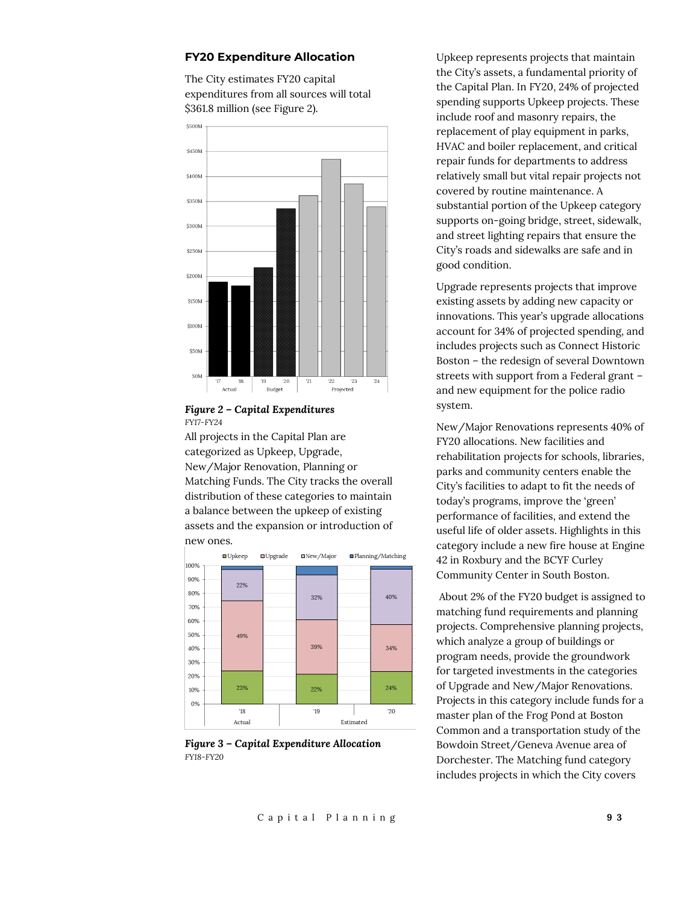#### **FY20 Expenditure Allocation**

The City estimates FY20 capital expenditures from all sources will total \$361.8 million (see Figure 2).





All projects in the Capital Plan are categorized as Upkeep, Upgrade, New/Major Renovation, Planning or Matching Funds. The City tracks the overall distribution of these categories to maintain a balance between the upkeep of existing assets and the expansion or introduction of new ones.



*Figure 3 – Capital Expenditure Allocation FY18-FY20*

Upkeep represents projects that maintain the City's assets, a fundamental priority of the Capital Plan. In FY20, 24% of projected spending supports Upkeep projects. These include roof and masonry repairs, the replacement of play equipment in parks, HVAC and boiler replacement, and critical repair funds for departments to address relatively small but vital repair projects not covered by routine maintenance. A substantial portion of the Upkeep category supports on-going bridge, street, sidewalk, and street lighting repairs that ensure the City's roads and sidewalks are safe and in good condition.

Upgrade represents projects that improve existing assets by adding new capacity or innovations. This year's upgrade allocations account for 34% of projected spending, and includes projects such as Connect Historic Boston – the redesign of several Downtown streets with support from a Federal grant – and new equipment for the police radio system.

New/Major Renovations represents 40% of FY20 allocations. New facilities and rehabilitation projects for schools, libraries, parks and community centers enable the City's facilities to adapt to fit the needs of today's programs, improve the 'green' performance of facilities, and extend the useful life of older assets. Highlights in this category include a new fire house at Engine 42 in Roxbury and the BCYF Curley Community Center in South Boston.

About 2% of the FY20 budget is assigned to matching fund requirements and planning projects. Comprehensive planning projects, which analyze a group of buildings or program needs, provide the groundwork for targeted investments in the categories of Upgrade and New/Major Renovations. Projects in this category include funds for a master plan of the Frog Pond at Boston Common and a transportation study of the Bowdoin Street/Geneva Avenue area of Dorchester. The Matching fund category includes projects in which the City covers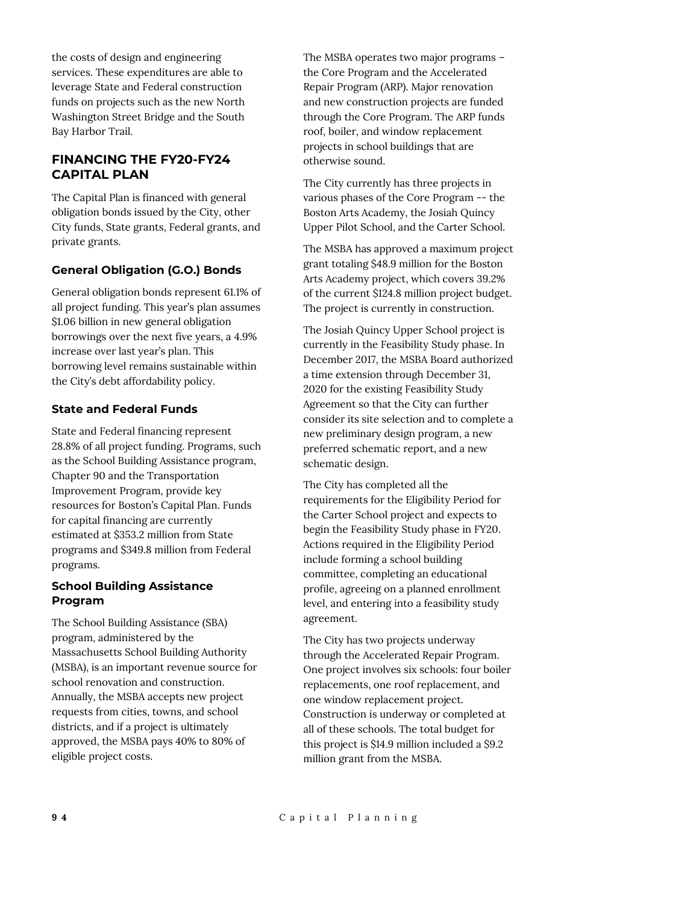the costs of design and engineering services. These expenditures are able to leverage State and Federal construction funds on projects such as the new North Washington Street Bridge and the South Bay Harbor Trail.

#### **FINANCING THE FY20-FY24 CAPITAL PLAN**

The Capital Plan is financed with general obligation bonds issued by the City, other City funds, State grants, Federal grants, and private grants.

#### **General Obligation (G.O.) Bonds**

General obligation bonds represent 61.1% of all project funding. This year's plan assumes \$1.06 billion in new general obligation borrowings over the next five years, a 4.9% increase over last year's plan. This borrowing level remains sustainable within the City's debt affordability policy.

#### **State and Federal Funds**

State and Federal financing represent 28.8% of all project funding. Programs, such as the School Building Assistance program, Chapter 90 and the Transportation Improvement Program, provide key resources for Boston's Capital Plan. Funds for capital financing are currently estimated at \$353.2 million from State programs and \$349.8 million from Federal programs.

#### **School Building Assistance Program**

The School Building Assistance (SBA) program, administered by the Massachusetts School Building Authority (MSBA), is an important revenue source for school renovation and construction. Annually, the MSBA accepts new project requests from cities, towns, and school districts, and if a project is ultimately approved, the MSBA pays 40% to 80% of eligible project costs.

The MSBA operates two major programs – the Core Program and the Accelerated Repair Program (ARP). Major renovation and new construction projects are funded through the Core Program. The ARP funds roof, boiler, and window replacement projects in school buildings that are otherwise sound.

The City currently has three projects in various phases of the Core Program -- the Boston Arts Academy, the Josiah Quincy Upper Pilot School, and the Carter School.

The MSBA has approved a maximum project grant totaling \$48.9 million for the Boston Arts Academy project, which covers 39.2% of the current \$124.8 million project budget. The project is currently in construction.

The Josiah Quincy Upper School project is currently in the Feasibility Study phase. In December 2017, the MSBA Board authorized a time extension through December 31, 2020 for the existing Feasibility Study Agreement so that the City can further consider its site selection and to complete a new preliminary design program, a new preferred schematic report, and a new schematic design.

The City has completed all the requirements for the Eligibility Period for the Carter School project and expects to begin the Feasibility Study phase in FY20. Actions required in the Eligibility Period include forming a school building committee, completing an educational profile, agreeing on a planned enrollment level, and entering into a feasibility study agreement.

The City has two projects underway through the Accelerated Repair Program. One project involves six schools: four boiler replacements, one roof replacement, and one window replacement project. Construction is underway or completed at all of these schools. The total budget for this project is \$14.9 million included a \$9.2 million grant from the MSBA.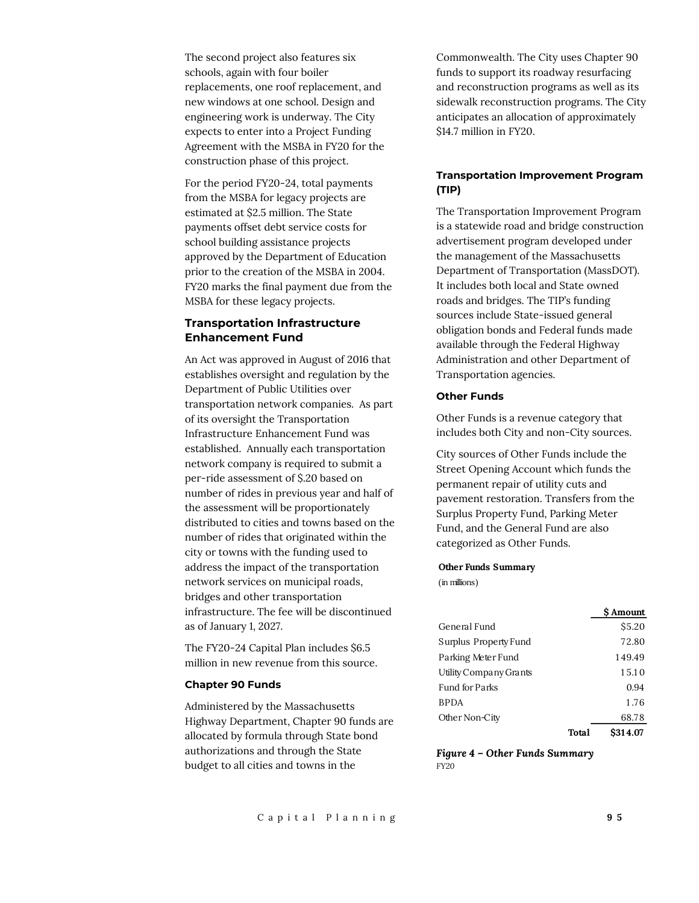The second project also features six schools, again with four boiler replacements, one roof replacement, and new windows at one school. Design and engineering work is underway. The City expects to enter into a Project Funding Agreement with the MSBA in FY20 for the construction phase of this project.

For the period FY20-24, total payments from the MSBA for legacy projects are estimated at \$2.5 million. The State payments offset debt service costs for school building assistance projects approved by the Department of Education prior to the creation of the MSBA in 2004. FY20 marks the final payment due from the MSBA for these legacy projects.

#### **Transportation Infrastructure Enhancement Fund**

An Act was approved in August of 2016 that establishes oversight and regulation by the Department of Public Utilities over transportation network companies. As part of its oversight the Transportation Infrastructure Enhancement Fund was established. Annually each transportation network company is required to submit a per-ride assessment of \$.20 based on number of rides in previous year and half of the assessment will be proportionately distributed to cities and towns based on the number of rides that originated within the city or towns with the funding used to address the impact of the transportation network services on municipal roads, bridges and other transportation infrastructure. The fee will be discontinued as of January 1, 2027.

The FY20-24 Capital Plan includes \$6.5 million in new revenue from this source.

#### **Chapter 90 Funds**

Administered by the Massachusetts Highway Department, Chapter 90 funds are allocated by formula through State bond authorizations and through the State budget to all cities and towns in the

Commonwealth. The City uses Chapter 90 funds to support its roadway resurfacing and reconstruction programs as well as its sidewalk reconstruction programs. The City anticipates an allocation of approximately \$14.7 million in FY20.

#### **Transportation Improvement Program (TIP)**

The Transportation Improvement Program is a statewide road and bridge construction advertisement program developed under the management of the Massachusetts Department of Transportation (MassDOT). It includes both local and State owned roads and bridges. The TIP's funding sources include State-issued general obligation bonds and Federal funds made available through the Federal Highway Administration and other Department of Transportation agencies.

#### **Other Funds**

Other Funds is a revenue category that includes both City and non-City sources.

City sources of Other Funds include the Street Opening Account which funds the permanent repair of utility cuts and pavement restoration. Transfers from the Surplus Property Fund, Parking Meter Fund, and the General Fund are also categorized as Other Funds.

#### **Other Funds Summary**

(in millions)

|                        |       | \$ Amount |
|------------------------|-------|-----------|
| General Fund           |       | \$5.20    |
| Surplus Property Fund  |       | 72.80     |
| Parking Meter Fund     |       | 149.49    |
| Utility Company Grants |       | 15.10     |
| <b>Fund for Parks</b>  |       | 0.94      |
| <b>BPDA</b>            |       | 1.76      |
| Other Non-City         |       | 68.78     |
|                        | Total | \$314.07  |

*Figure 4 – Other Funds Summary FY20*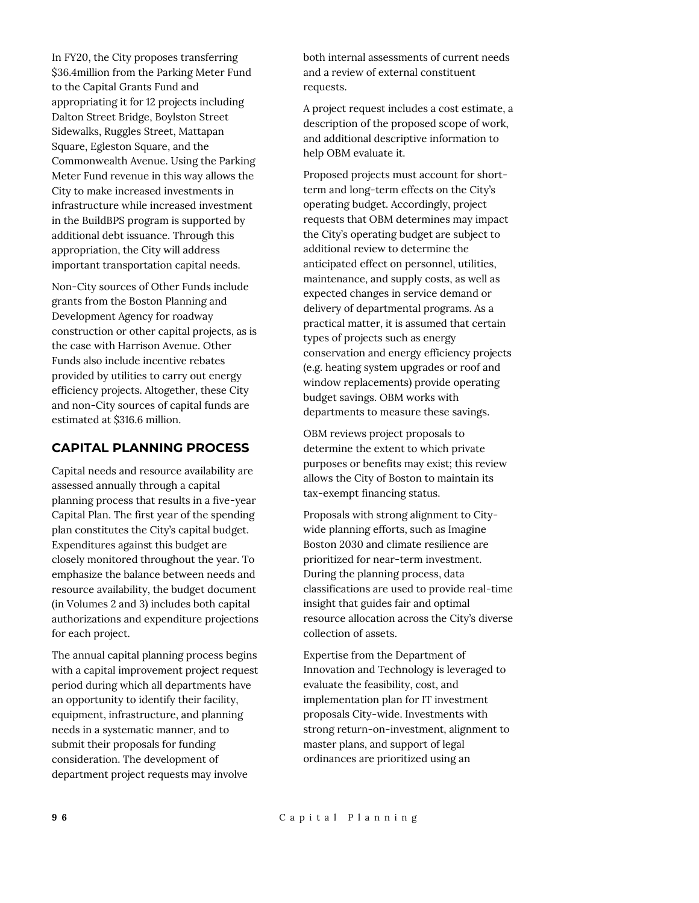In FY20, the City proposes transferring \$36.4million from the Parking Meter Fund to the Capital Grants Fund and appropriating it for 12 projects including Dalton Street Bridge, Boylston Street Sidewalks, Ruggles Street, Mattapan Square, Egleston Square, and the Commonwealth Avenue. Using the Parking Meter Fund revenue in this way allows the City to make increased investments in infrastructure while increased investment in the BuildBPS program is supported by additional debt issuance. Through this appropriation, the City will address important transportation capital needs.

Non-City sources of Other Funds include grants from the Boston Planning and Development Agency for roadway construction or other capital projects, as is the case with Harrison Avenue. Other Funds also include incentive rebates provided by utilities to carry out energy efficiency projects. Altogether, these City and non-City sources of capital funds are estimated at \$316.6 million.

#### **CAPITAL PLANNING PROCESS**

Capital needs and resource availability are assessed annually through a capital planning process that results in a five-year Capital Plan. The first year of the spending plan constitutes the City's capital budget. Expenditures against this budget are closely monitored throughout the year. To emphasize the balance between needs and resource availability, the budget document (in Volumes 2 and 3) includes both capital authorizations and expenditure projections for each project.

The annual capital planning process begins with a capital improvement project request period during which all departments have an opportunity to identify their facility, equipment, infrastructure, and planning needs in a systematic manner, and to submit their proposals for funding consideration. The development of department project requests may involve

both internal assessments of current needs and a review of external constituent requests.

A project request includes a cost estimate, a description of the proposed scope of work, and additional descriptive information to help OBM evaluate it.

Proposed projects must account for shortterm and long-term effects on the City's operating budget. Accordingly, project requests that OBM determines may impact the City's operating budget are subject to additional review to determine the anticipated effect on personnel, utilities, maintenance, and supply costs, as well as expected changes in service demand or delivery of departmental programs. As a practical matter, it is assumed that certain types of projects such as energy conservation and energy efficiency projects (e.g. heating system upgrades or roof and window replacements) provide operating budget savings. OBM works with departments to measure these savings.

OBM reviews project proposals to determine the extent to which private purposes or benefits may exist; this review allows the City of Boston to maintain its tax-exempt financing status.

Proposals with strong alignment to Citywide planning efforts, such as Imagine Boston 2030 and climate resilience are prioritized for near-term investment. During the planning process, data classifications are used to provide real-time insight that guides fair and optimal resource allocation across the City's diverse collection of assets.

Expertise from the Department of Innovation and Technology is leveraged to evaluate the feasibility, cost, and implementation plan for IT investment proposals City-wide. Investments with strong return-on-investment, alignment to master plans, and support of legal ordinances are prioritized using an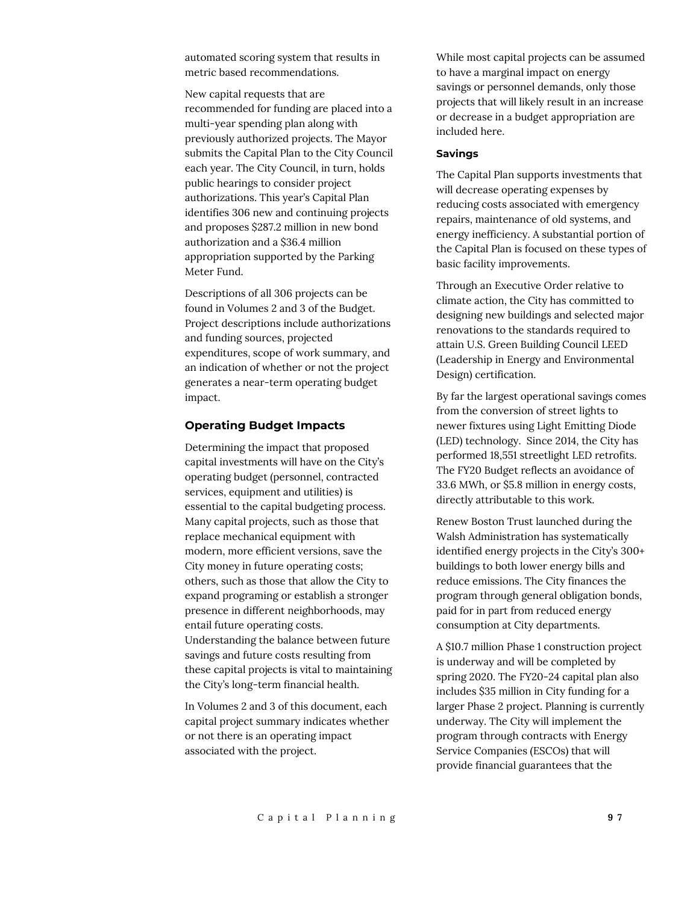automated scoring system that results in metric based recommendations.

New capital requests that are recommended for funding are placed into a multi-year spending plan along with previously authorized projects. The Mayor submits the Capital Plan to the City Council each year. The City Council, in turn, holds public hearings to consider project authorizations. This year's Capital Plan identifies 306 new and continuing projects and proposes \$287.2 million in new bond authorization and a \$36.4 million appropriation supported by the Parking Meter Fund.

Descriptions of all 306 projects can be found in Volumes 2 and 3 of the Budget. Project descriptions include authorizations and funding sources, projected expenditures, scope of work summary, and an indication of whether or not the project generates a near-term operating budget impact.

#### **Operating Budget Impacts**

Determining the impact that proposed capital investments will have on the City's operating budget (personnel, contracted services, equipment and utilities) is essential to the capital budgeting process. Many capital projects, such as those that replace mechanical equipment with modern, more efficient versions, save the City money in future operating costs; others, such as those that allow the City to expand programing or establish a stronger presence in different neighborhoods, may entail future operating costs. Understanding the balance between future savings and future costs resulting from these capital projects is vital to maintaining the City's long-term financial health.

In Volumes 2 and 3 of this document, each capital project summary indicates whether or not there is an operating impact associated with the project.

While most capital projects can be assumed to have a marginal impact on energy savings or personnel demands, only those projects that will likely result in an increase or decrease in a budget appropriation are included here.

#### **Savings**

The Capital Plan supports investments that will decrease operating expenses by reducing costs associated with emergency repairs, maintenance of old systems, and energy inefficiency. A substantial portion of the Capital Plan is focused on these types of basic facility improvements.

Through an Executive Order relative to climate action, the City has committed to designing new buildings and selected major renovations to the standards required to attain U.S. Green Building Council LEED (Leadership in Energy and Environmental Design) certification.

By far the largest operational savings comes from the conversion of street lights to newer fixtures using Light Emitting Diode (LED) technology. Since 2014, the City has performed 18,551 streetlight LED retrofits. The FY20 Budget reflects an avoidance of 33.6 MWh, or \$5.8 million in energy costs, directly attributable to this work.

Renew Boston Trust launched during the Walsh Administration has systematically identified energy projects in the City's 300+ buildings to both lower energy bills and reduce emissions. The City finances the program through general obligation bonds, paid for in part from reduced energy consumption at City departments.

A \$10.7 million Phase 1 construction project is underway and will be completed by spring 2020. The FY20-24 capital plan also includes \$35 million in City funding for a larger Phase 2 project. Planning is currently underway. The City will implement the program through contracts with Energy Service Companies (ESCOs) that will provide financial guarantees that the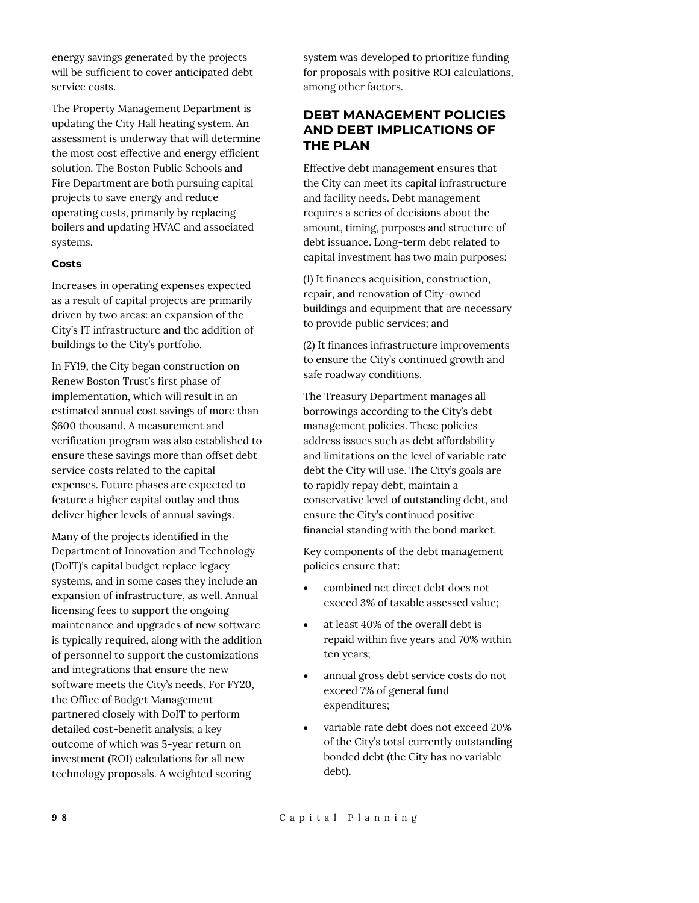energy savings generated by the projects will be sufficient to cover anticipated debt service costs.

The Property Management Department is updating the City Hall heating system. An assessment is underway that will determine the most cost effective and energy efficient solution. The Boston Public Schools and Fire Department are both pursuing capital projects to save energy and reduce operating costs, primarily by replacing boilers and updating HVAC and associated systems.

#### **Costs**

Increases in operating expenses expected as a result of capital projects are primarily driven by two areas: an expansion of the City's IT infrastructure and the addition of buildings to the City's portfolio.

In FY19, the City began construction on Renew Boston Trust's first phase of implementation, which will result in an estimated annual cost savings of more than \$600 thousand. A measurement and verification program was also established to ensure these savings more than offset debt service costs related to the capital expenses. Future phases are expected to feature a higher capital outlay and thus deliver higher levels of annual savings.

Many of the projects identified in the Department of Innovation and Technology (DoIT)'s capital budget replace legacy systems, and in some cases they include an expansion of infrastructure, as well. Annual licensing fees to support the ongoing maintenance and upgrades of new software is typically required, along with the addition of personnel to support the customizations and integrations that ensure the new software meets the City's needs. For FY20, the Office of Budget Management partnered closely with DoIT to perform detailed cost-benefit analysis; a key outcome of which was 5-year return on investment (ROI) calculations for all new technology proposals. A weighted scoring

system was developed to prioritize funding for proposals with positive ROI calculations, among other factors.

#### **DEBT MANAGEMENT POLICIES AND DEBT IMPLICATIONS OF THE PLAN**

Effective debt management ensures that the City can meet its capital infrastructure and facility needs. Debt management requires a series of decisions about the amount, timing, purposes and structure of debt issuance. Long-term debt related to capital investment has two main purposes:

(1) It finances acquisition, construction, repair, and renovation of City-owned buildings and equipment that are necessary to provide public services; and

(2) It finances infrastructure improvements to ensure the City's continued growth and safe roadway conditions.

The Treasury Department manages all borrowings according to the City's debt management policies. These policies address issues such as debt affordability and limitations on the level of variable rate debt the City will use. The City's goals are to rapidly repay debt, maintain a conservative level of outstanding debt, and ensure the City's continued positive financial standing with the bond market.

Key components of the debt management policies ensure that:

- combined net direct debt does not exceed 3% of taxable assessed value;
- at least 40% of the overall debt is repaid within five years and 70% within ten years;
- annual gross debt service costs do not exceed 7% of general fund expenditures;
- variable rate debt does not exceed 20% of the City's total currently outstanding bonded debt (the City has no variable debt).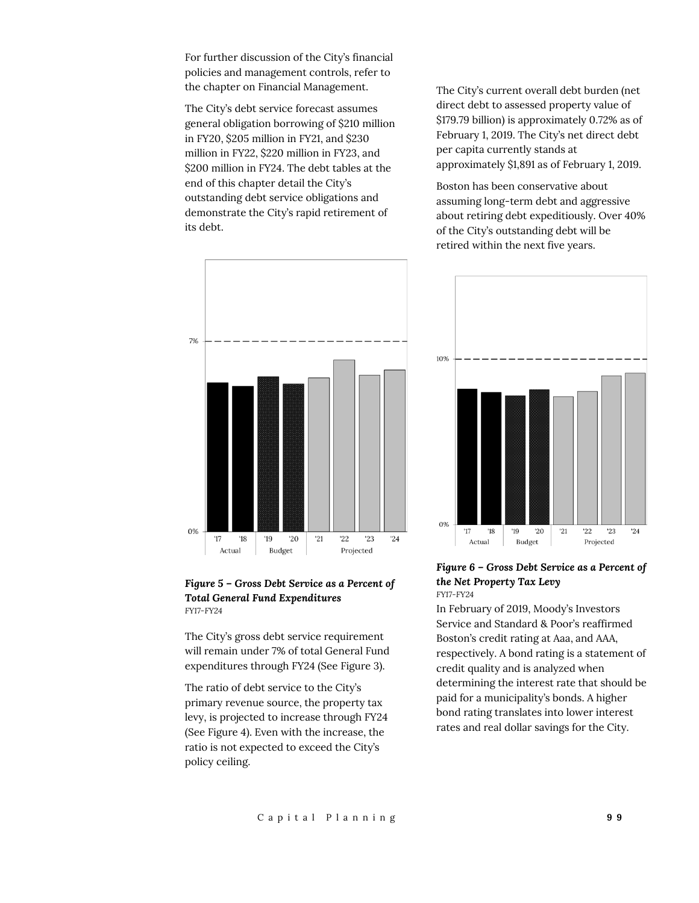For further discussion of the City's financial policies and management controls, refer to the chapter on Financial Management.

The City's debt service forecast assumes general obligation borrowing of \$210 million in FY20, \$205 million in FY21, and \$230 million in FY22, \$220 million in FY23, and \$200 million in FY24. The debt tables at the end of this chapter detail the City's outstanding debt service obligations and demonstrate the City's rapid retirement of its debt.



#### *Figure 5 – Gross Debt Service as a Percent of Total General Fund Expenditures FY17-FY24*

The City's gross debt service requirement will remain under 7% of total General Fund expenditures through FY24 (See Figure 3).

The ratio of debt service to the City's primary revenue source, the property tax levy, is projected to increase through FY24 (See Figure 4). Even with the increase, the ratio is not expected to exceed the City's policy ceiling.

The City's current overall debt burden (net direct debt to assessed property value of \$179.79 billion) is approximately 0.72% as of February 1, 2019. The City's net direct debt per capita currently stands at approximately \$1,891 as of February 1, 2019.

Boston has been conservative about assuming long-term debt and aggressive about retiring debt expeditiously. Over 40% of the City's outstanding debt will be retired within the next five years.



#### *Figure 6 – Gross Debt Service as a Percent of the Net Property Tax Levy FY17-FY24*

In February of 2019, Moody's Investors Service and Standard & Poor's reaffirmed Boston's credit rating at Aaa, and AAA, respectively. A bond rating is a statement of credit quality and is analyzed when determining the interest rate that should be paid for a municipality's bonds. A higher bond rating translates into lower interest rates and real dollar savings for the City.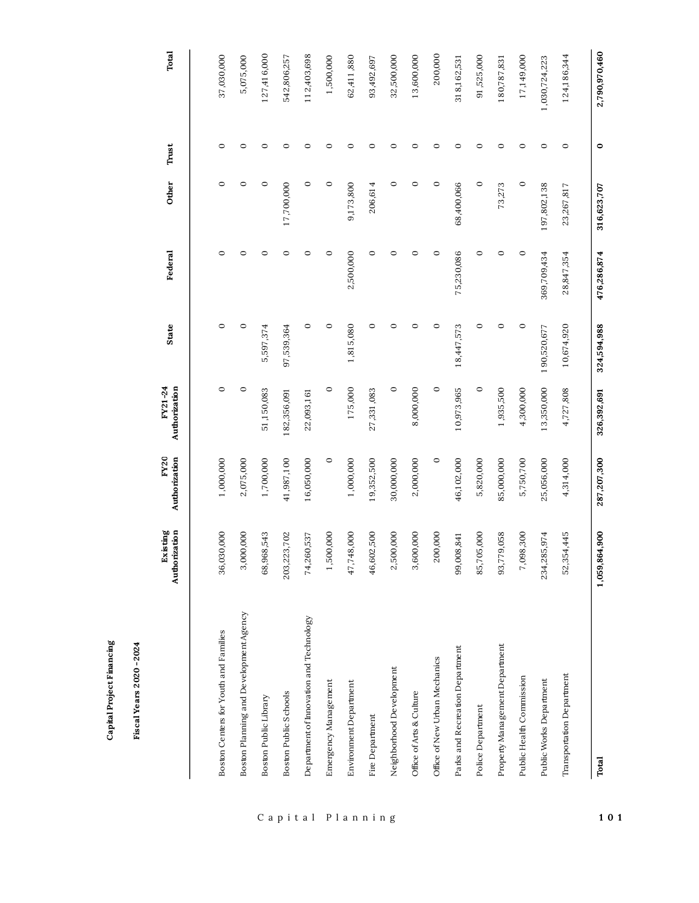| Authorization<br>203,223,702<br>Boston Planning and Development Agency<br>Boston Centers for Youth and Families<br>Boston Public Schools<br>Boston Public Library | Existing<br>36,030,000 | FY20<br>Authorization | Authorization<br>FY21-24 |             |             |             | Trust   |               |
|-------------------------------------------------------------------------------------------------------------------------------------------------------------------|------------------------|-----------------------|--------------------------|-------------|-------------|-------------|---------|---------------|
|                                                                                                                                                                   |                        |                       |                          | State       | Federal     | Other       |         | Total         |
|                                                                                                                                                                   |                        |                       |                          |             |             |             |         |               |
|                                                                                                                                                                   |                        | 1,000,000             | $\circ$                  | $\circ$     | $\circ$     | $\circ$     | $\circ$ | 37,030,000    |
|                                                                                                                                                                   | 3,000,000              | 2,075,000             | $\circ$                  | $\circ$     | 0           | $\circ$     | $\circ$ | 5,075,000     |
|                                                                                                                                                                   | 68,968,543             | 1,700,000             | 51,150,083               | 5,597,374   | 0           | $\circ$     | $\circ$ | 127,416,000   |
|                                                                                                                                                                   |                        | 41,987,100            | 182,356,091              | 97,539,364  | 0           | 17,700,000  | $\circ$ | 542,806,257   |
| 74,260,537<br>Department of Innovation and Technology                                                                                                             |                        | 16,050,000            | 22,093,161               | $\circ$     | 0           | $\circ$     | 0       | 112,403,698   |
| Emergency Management                                                                                                                                              | 1,500,000              | $\circ$               | $\circ$                  | $\circ$     | 0           | $\circ$     | 0       | 1,500,000     |
| Environment Department                                                                                                                                            | 47,748,000             | 1,000,000             | 175,000                  | 1,815,080   | 2,500,000   | 9,173,800   | $\circ$ | 62,411,880    |
| Fire Department                                                                                                                                                   | 46,602,500             | 19,352,500            | 27,331,083               | $\circ$     | 0           | 206,614     | 0       | 93,492,697    |
| Neighborhood Development                                                                                                                                          | 2,500,000              | 30,000,000            | $\circ$                  | $\circ$     | 0           | $\circ$     | $\circ$ | 32,500,000    |
| Office of Arts & Culture                                                                                                                                          | 3,600,000              | 2,000,000             | 8,000,000                | $\circ$     | 0           | $\circ$     | $\circ$ | 13,600,000    |
| Office of New Urban Mechanics                                                                                                                                     | 200,000                | $\circ$               | $\circ$                  | $\circ$     | $\circ$     | $\circ$     | $\circ$ | 200,000       |
| Parks and Recreation Department                                                                                                                                   | 99,008,841             | 46,102,000            | 10,973,965               | 18,447,573  | 75,230,086  | 68,400,066  | C       | 318,162,531   |
| Police Department                                                                                                                                                 | 85,705,000             | 5,820,000             | $\circ$                  | 0           | 0           | $\circ$     | $\circ$ | 91,525,000    |
| Property Management Department                                                                                                                                    | 93,779,058             | 85,000,000            | 1,935,500                | $\circ$     | 0           | 73,273      | 0       | 180,787,831   |
| Public Health Commission                                                                                                                                          | 7,098,300              | 5,750,700             | 4,300,000                | $\circ$     | $\circ$     | $\circ$     | $\circ$ | 17,149,000    |
| 234,285,974<br>Public Works Department                                                                                                                            |                        | 25,056,000            | 13,350,000               | 190,520,677 | 369,709,434 | 197,802,138 | $\circ$ | 1,030,724,223 |
| 52,3<br>Transportation Department                                                                                                                                 | 354,445                | 4,314,000             | 4,727,808                | 10,674,920  | 28,847,354  | 23,267,817  | $\circ$ | 124,186,344   |
| 1,059,864,900<br>Total                                                                                                                                            |                        | 287,207,300           | 326,392,691              | 324,594,988 | 476,286,874 | 316,623,707 | $\circ$ | 2,790,970,460 |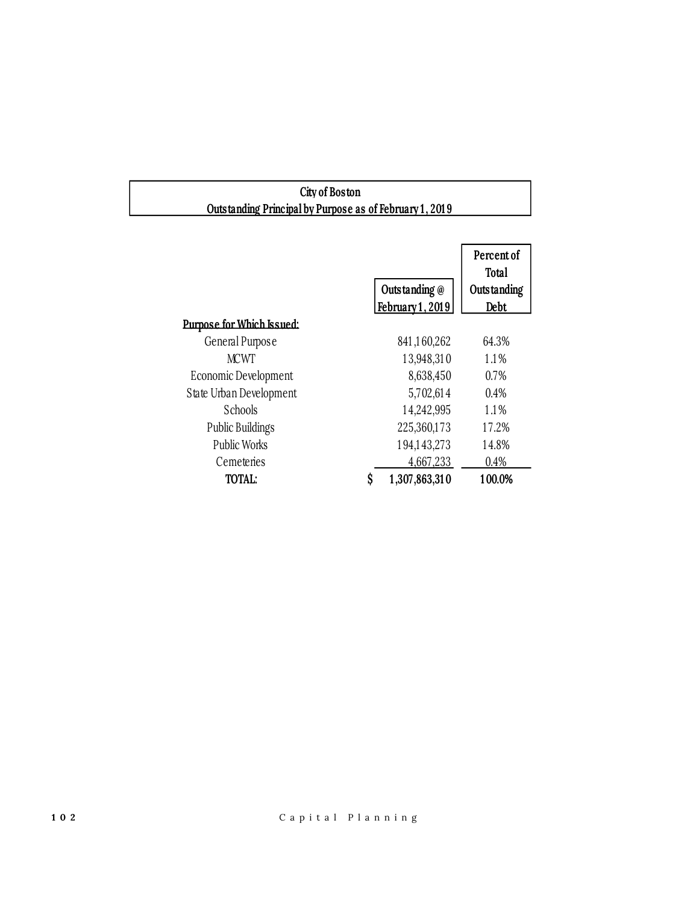### **City of Boston Outstanding Principal by Purpose as of February 1 , 201 9**

|                             |                  | Percent of<br>Total |
|-----------------------------|------------------|---------------------|
|                             | Outstanding @    | Outstanding         |
|                             | February 1, 2019 | Debt                |
| Purpose for Which Issued:   |                  |                     |
| General Purpose             | 841,160,262      | 64.3%               |
| <b>MCWT</b>                 | 13,948,310       | 1.1%                |
| <b>Economic Development</b> | 8,638,450        | $0.7\%$             |
| State Urban Development     | 5,702,614        | 0.4%                |
| <b>Schools</b>              | 14,242,995       | 1.1%                |
| <b>Public Buildings</b>     | 225,360,173      | 17.2%               |
| <b>Public Works</b>         | 194,143,273      | 14.8%               |
| Cemeteries                  | 4,667,233        | 0.4%                |
| <b>TOTAL:</b>               | 1,307,863,310    | 100.0%              |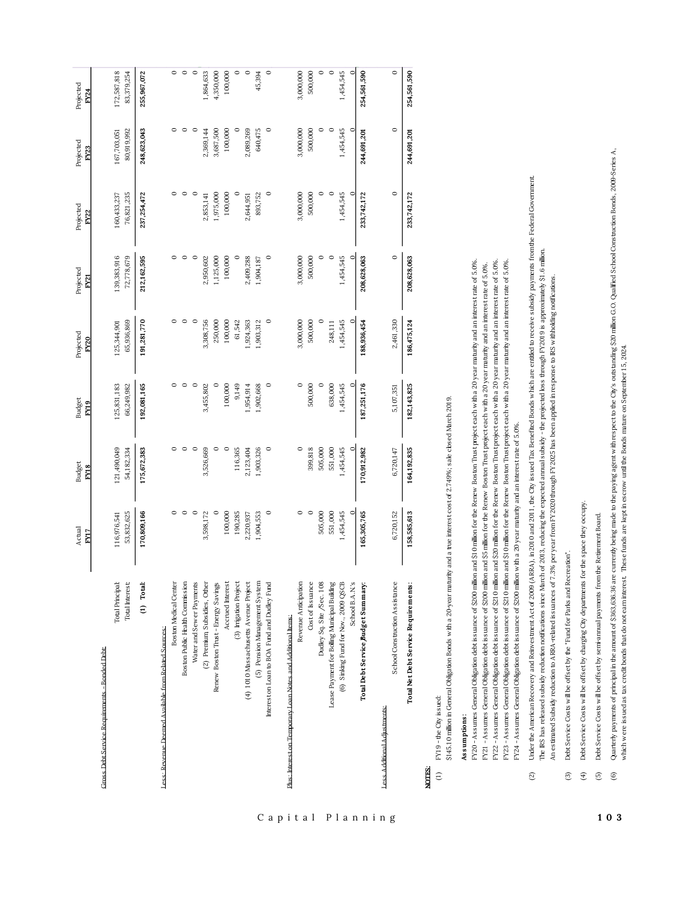|                                                              | Actual<br>FY17            | <b>Budget</b><br>FY18     | <b>Budget</b><br>FY19     | Projected<br>FY20         | Projected<br>FY21         | Projected<br>FY22         | Projected<br>FY23         | Projected<br>FY24         |
|--------------------------------------------------------------|---------------------------|---------------------------|---------------------------|---------------------------|---------------------------|---------------------------|---------------------------|---------------------------|
| Cross Debt Service Requirements - Bonded Debt:               |                           |                           |                           |                           |                           |                           |                           |                           |
| Total Principal:<br>Total Interest:                          | 53,832,625<br>116,976,541 | 121,490,049<br>54,182,334 | 125,831,183<br>66,249,982 | 65,936,869<br>125,344,901 | 139,383,916<br>72,778,679 | 76,821,235<br>160,433,237 | 80,919,992<br>167,703,051 | 172,587,818<br>83,379,254 |
| (1) Total:                                                   | 170,809,166               | 175,672,383               | 192,081,165               | 91,281,770                | 212,162,595               | 237,254,472               | 248,623,043               | 255,967,072               |
| Less: Revenue Deemed Avaibble from Related Sources:          |                           |                           |                           |                           |                           |                           |                           |                           |
| Boston Medical Center                                        |                           |                           | 0                         | 0                         |                           | $\circ$                   | $\circ$                   | $\circ$                   |
| Boston Public Health Commission                              | $\circ$                   |                           | $\circ$                   | $\circ$                   |                           | $\circ$                   | $\circ$                   | $\circ$                   |
| Water and Sewer Payments                                     | $\circ$                   | $\circ$                   | $\circ$                   | $\circ$                   |                           | $\circ$                   | $\circ$                   | $\circ$                   |
| (2) Premium Subsidies, Other                                 | 3,598,172                 | 3,526,669                 | 3,455,802                 | 3,308,756                 | 2,950,602                 | 2,853,141                 | 2,369,144                 | ,864,633                  |
| Renew Boston Trust - Energy Savings                          |                           |                           |                           | 250,000                   | 1,125,000                 | 1,975,000                 | 3,687,500                 | 4,350,000                 |
| Accrued Interest                                             | 100,000                   |                           | 100,000                   | 100,000                   | 100,000                   | 100,000                   | 100,000                   | 100,000                   |
| (3) Irrigation Project                                       | 190,285                   | 116,365                   | 9,149                     | 61,542                    |                           | $\circ$                   |                           | $\circ$                   |
| (4) 1010 Massachusetts Avenue Project                        | 2,220,937                 | 2,123,404                 | ,954,914                  | ,924,363                  | 2,409,288                 | 2,644,951                 | 2,089,269                 | $\circ$                   |
| (5) Pension Management System                                | 1,904,553                 | 1,903,326                 | 1,902,668                 | 1,903,312                 | 1,904,187                 | 893,752                   | 640,475                   | 45,394                    |
| Interest on Loan to BOA Fund and Dudley Fund                 | $\circ$                   | $\circ$                   | $\circ$                   | $\circ$                   | $\circ$                   | $\circ$                   | $\circ$                   | $\circ$                   |
| Plus: Interest on Termorary Loan Notes and Additional Items: |                           |                           |                           |                           |                           |                           |                           |                           |
| Revenue Anticipation                                         | 0                         |                           |                           | 3,000,000                 | 3,000,000                 | 3,000,000                 | 3,000,000                 | 3,000,000                 |
| Cost of Issuance                                             | $\circ$                   | 399,818                   | 500,000                   | 500,000                   | 500,000                   | 500,000                   | 500,000                   | 500,000                   |
| Dudley Sq. Site /Sec. 108                                    | 505,000                   | 505,000                   |                           |                           |                           | ○                         |                           | $\circ$                   |
| Lease Payment for Bolling Municipal Building                 | 551,000                   | 551,000                   | 638,000                   | 248,111                   |                           | $\circ$                   | $\circ$                   | $\circ$                   |
| (6) Sinking Fund for Nov., 2009 QSCB                         | 1,454,545                 | ,454,545                  | 1,454,545                 | 1,454,545                 | 1,454,545                 | 1,454,545                 | 1,454,545                 | 1,454,545                 |
| School B.A.N's                                               |                           |                           |                           |                           |                           |                           |                           | c                         |
| Total Debt Service Budget Summary:                           | 165,305,765               | 170,912,982               | 187,251,176               | 188,936,454               | 208,628,063               | 233,742,172               | 244,691,201               | 254,561,590               |
| Less Additional Adjustments:                                 |                           |                           |                           |                           |                           |                           |                           |                           |
| School Construction Assistance                               | 6,720,152                 | 6,720,147                 | 5,107,351                 | 2,461,330                 | $\circ$                   | $\circ$                   | $\circ$                   | $\circ$                   |
| Total Net Debt Service Requirements:                         | 158,585,613               | 164,192,835               | 182,143,825               | 186,475,124               | 208,628,063               | 233,742,172               | 244,691,201               | 254,561,590               |
| NOTES.                                                       |                           |                           |                           |                           |                           |                           |                           |                           |

# **NOTES:**

### FY19 - the City issued: (1 ) FY1 9 - the City issued:  $\epsilon$

\$145.10 million in General Obligation Bonds with a 20-year maturity and a true interest cost of 2.749%; sale closed March 2019. \$1 45.1 0 million in General Obligation Bonds with a 20-year maturity and a true interest cost of 2.749%; sale closed March 201 9.

### Assumptions: **As s umptions :**

FY20 - Assumes General Obligation debt issuance of \$200 million and \$10 million for the Renew Boston Trust project each with a 20 year maturity and an interest rate of 5.0% FY20 - Assumes General Obligation debt issuance of \$200 million and \$1 0 million for the Renew Boston Trust project each with a 20 year maturity and an interest rate of 5.0%. FY22 - Assumes General Obligation debt issuance of \$210 milion and \$20 milion for the Renew Boston Trust project each with a 20 year maturity and an interest rate of 5.0% FY22 - Assumes General Obligation debt issuance of \$21 0 million and \$20 million for the Renew Boston Trust project each with a 20 year maturity and an interest rate of 5.0%. FY23 - Assumes General Obligation debt issuance of \$210 million and \$10 million for the Renew Boston Trust project each with a 20 year maturity and an interest rate of 5.0%. FY23 - Assumes General Obligation debt issuance of \$210 million and \$10 million for the Renew Boston Thust project each with a 20 year maturity and an interest rate of 5.0% FY21 - Assumes General Obligation debt issuance of \$200 million and \$5 million for the Renew Boston Thust project each with a 20 year maturity and an interest rate of 5.0%. FY21 - Assumes General Obligation debt issuance of \$200 million and \$5 million for the Renew Boston Trust project each with a 20 year maturity and an interest rate of 5.0%. FY24 - Assumes General Obligation debt issuance of \$200 million with a 20 year maturity and an interest rate of 5.0%. FY24 - Assumes General Obligation debt issuance of \$200 million with a 20 year maturity and an interest rate of 5.0%.

- Under the American Recovery and Reinvestment Act of 2009 (ARRA), in 201 0 and 2011, the City is sued Tax Benefied Bonds which are entitled to receive subsidy payments from the Federal Government. (2) Under the American Recovery and Reinvestment Act of 2009 (ARRA), in 201 0 and 201 1 , the City issued Tax Benefited Bonds which are entitled to receive subsidy payments from the Federal Government. The IRS has released subsidy reduction notifications since March of 201 3, reducing the expected annual subsidy - the projected loss through FY201 9 is approximately \$1 .6 million. The RS has released subsidy reduction notifications since March of 2013, reducing the expected amual subsidy - the projected boss through FY2019 is approximately \$1.6 million. An estimated Subsidy reduction to ARRA-related issuances of 7.3% per year from FY2020 through FY2025 has been applied in response to IRS withholding notifications. An estimated Subsidy reduction to ARRA-related issuances of 7.3% per year from FY2020 through FY2025 has been applied in response to IRS withholding notifications.  $\circled{2}$
- Debt Service Costs will be offset by the "Fund for Parks and Recreation". (3) Debt Service Costs will be offset by the "Fund for Parks and Recreation".  $\circledcirc$
- Debt Service Costs will be offset by charging City departments for the space they occupy. (4) Debt Service Costs will be offset by charging City departments for the space they occupy.  $\bigoplus$
- Debt Service Costs will be offset by semi-annual payments from the Retirement Board. (5) Debt Service Costs will be offset by semi-annual payments from the Retirement Board.  $\overline{5}$
- Quarterly paymens of principal in the amount of \$363,636.36 are currently being make to the paying agent with respect to the City's outs tanding \$20 million G.O. Qualified School Construction Bonds, 2009-Series A,<br>which we (6) Quarterly payments of principal in the amount of \$363,636.36 are currently being made to the paying agent with respect to the City's outstanding \$20 million G.O. Qualified School Construction Bonds, 2009-Series A, which were issued as tax credit bonds that do not earn interest. These funds are kept in escrow until the Bonds mature on September 1 5, 2024. $\circledcirc$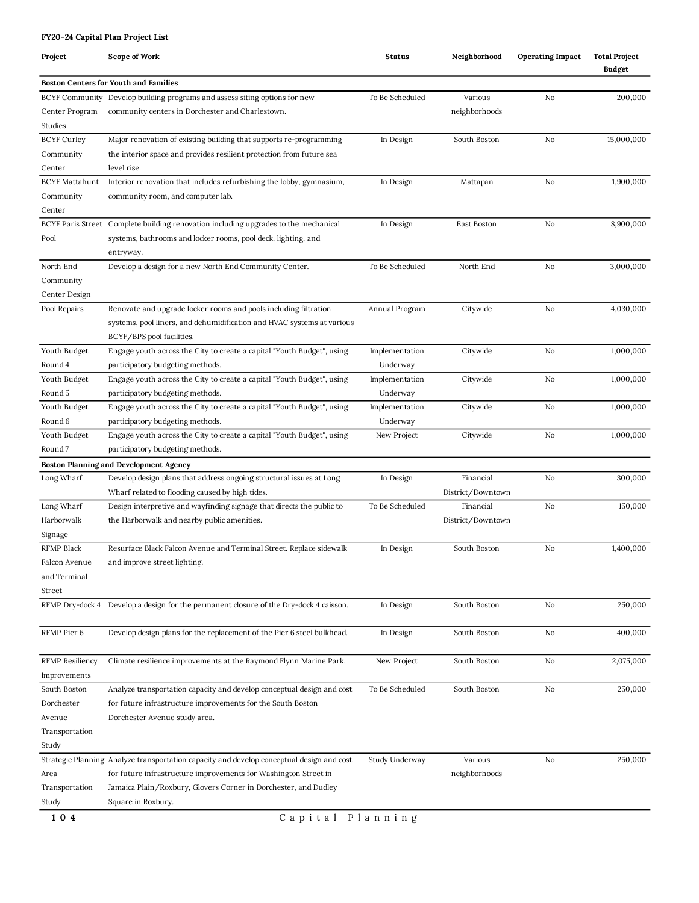| FY20-24 Capital Plan Project List |                                                                                           |                 |                   |                         |                                       |
|-----------------------------------|-------------------------------------------------------------------------------------------|-----------------|-------------------|-------------------------|---------------------------------------|
| Project                           | Scope of Work                                                                             | <b>Status</b>   | Neighborhood      | <b>Operating Impact</b> | <b>Total Project</b><br><b>Budget</b> |
|                                   | <b>Boston Centers for Youth and Families</b>                                              |                 |                   |                         |                                       |
|                                   | BCYF Community Develop building programs and assess siting options for new                | To Be Scheduled | Various           | No                      | 200,000                               |
| Center Program                    | community centers in Dorchester and Charlestown.                                          |                 | neighborhoods     |                         |                                       |
| Studies                           |                                                                                           |                 |                   |                         |                                       |
| <b>BCYF Curley</b>                | Major renovation of existing building that supports re-programming                        | In Design       | South Boston      | No                      | 15,000,000                            |
| Community                         | the interior space and provides resilient protection from future sea                      |                 |                   |                         |                                       |
| Center                            | level rise.                                                                               |                 |                   |                         |                                       |
| <b>BCYF Mattahunt</b>             | Interior renovation that includes refurbishing the lobby, gymnasium,                      | In Design       | Mattapan          | No                      | 1,900,000                             |
| Community                         | community room, and computer lab.                                                         |                 |                   |                         |                                       |
| Center                            |                                                                                           |                 |                   |                         |                                       |
|                                   | BCYF Paris Street Complete building renovation including upgrades to the mechanical       | In Design       | East Boston       | No                      | 8,900,000                             |
| Pool                              | systems, bathrooms and locker rooms, pool deck, lighting, and                             |                 |                   |                         |                                       |
|                                   | entryway.                                                                                 |                 |                   |                         |                                       |
| North End                         | Develop a design for a new North End Community Center.                                    | To Be Scheduled | North End         | No                      | 3,000,000                             |
| Community                         |                                                                                           |                 |                   |                         |                                       |
| Center Design                     |                                                                                           |                 |                   |                         |                                       |
| Pool Repairs                      | Renovate and upgrade locker rooms and pools including filtration                          | Annual Program  | Citywide          | No                      | 4,030,000                             |
|                                   | systems, pool liners, and dehumidification and HVAC systems at various                    |                 |                   |                         |                                       |
|                                   | BCYF/BPS pool facilities.                                                                 |                 |                   |                         |                                       |
| Youth Budget                      | Engage youth across the City to create a capital "Youth Budget", using                    | Implementation  | Citywide          | No                      | 1,000,000                             |
| Round 4                           | participatory budgeting methods.                                                          | Underway        |                   |                         |                                       |
| Youth Budget                      | Engage youth across the City to create a capital "Youth Budget", using                    | Implementation  | Citywide          | No                      | 1,000,000                             |
| Round 5                           | participatory budgeting methods.                                                          | Underway        |                   |                         |                                       |
| Youth Budget                      | Engage youth across the City to create a capital "Youth Budget", using                    | Implementation  | Citywide          | No                      | 1,000,000                             |
| Round 6                           | participatory budgeting methods.                                                          | Underway        |                   |                         |                                       |
| Youth Budget                      | Engage youth across the City to create a capital "Youth Budget", using                    | New Project     | Citywide          | No                      | 1,000,000                             |
| Round <sub>7</sub>                | participatory budgeting methods.                                                          |                 |                   |                         |                                       |
|                                   | Boston Planning and Development Agency                                                    |                 |                   |                         |                                       |
| Long Wharf                        | Develop design plans that address ongoing structural issues at Long                       | In Design       | Financial         | No                      | 300,000                               |
|                                   | Wharf related to flooding caused by high tides.                                           |                 | District/Downtown |                         |                                       |
| Long Wharf                        | Design interpretive and wayfinding signage that directs the public to                     | To Be Scheduled | Financial         | No                      | 150,000                               |
| Harborwalk                        | the Harborwalk and nearby public amenities.                                               |                 | District/Downtown |                         |                                       |
| Signage                           |                                                                                           |                 |                   |                         |                                       |
| RFMP Black                        | Resurface Black Falcon Avenue and Terminal Street. Replace sidewalk                       | In Design       | South Boston      | No                      | 1,400,000                             |
| Falcon Avenue                     | and improve street lighting.                                                              |                 |                   |                         |                                       |
| and Terminal                      |                                                                                           |                 |                   |                         |                                       |
|                                   |                                                                                           |                 |                   |                         |                                       |
| Street                            | RFMP Dry-dock 4 Develop a design for the permanent closure of the Dry-dock 4 caisson.     | In Design       | South Boston      | No                      | 250,000                               |
|                                   |                                                                                           |                 |                   |                         |                                       |
| RFMP Pier 6                       | Develop design plans for the replacement of the Pier 6 steel bulkhead.                    | In Design       | South Boston      | No                      | 400,000                               |
|                                   |                                                                                           |                 |                   |                         |                                       |
| <b>RFMP</b> Resiliency            | Climate resilience improvements at the Raymond Flynn Marine Park.                         | New Project     | South Boston      | No                      | 2,075,000                             |
| Improvements                      |                                                                                           |                 |                   |                         |                                       |
| South Boston                      | Analyze transportation capacity and develop conceptual design and cost                    | To Be Scheduled | South Boston      | No                      | 250,000                               |
| Dorchester                        | for future infrastructure improvements for the South Boston                               |                 |                   |                         |                                       |
| Avenue                            | Dorchester Avenue study area.                                                             |                 |                   |                         |                                       |
| Transportation                    |                                                                                           |                 |                   |                         |                                       |
| Study                             |                                                                                           |                 |                   |                         |                                       |
|                                   | Strategic Planning Analyze transportation capacity and develop conceptual design and cost | Study Underway  | Various           | No                      | 250,000                               |
| Area                              | for future infrastructure improvements for Washington Street in                           |                 | neighborhoods     |                         |                                       |
| Transportation                    | Jamaica Plain/Roxbury, Glovers Corner in Dorchester, and Dudley                           |                 |                   |                         |                                       |
| Study                             | Square in Roxbury.                                                                        |                 |                   |                         |                                       |
| 104                               | Capital Planning                                                                          |                 |                   |                         |                                       |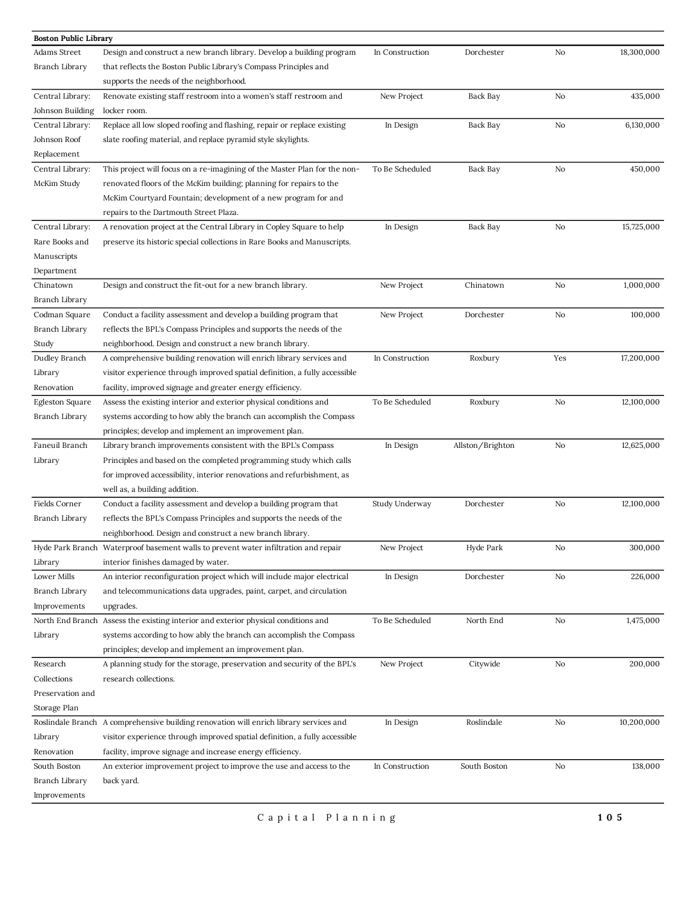| <b>Boston Public Library</b> |                                                                                        |                 |                  |     |            |
|------------------------------|----------------------------------------------------------------------------------------|-----------------|------------------|-----|------------|
| Adams Street                 | Design and construct a new branch library. Develop a building program                  | In Construction | Dorchester       | No  | 18,300,000 |
| Branch Library               | that reflects the Boston Public Library's Compass Principles and                       |                 |                  |     |            |
|                              | supports the needs of the neighborhood.                                                |                 |                  |     |            |
| Central Library:             | Renovate existing staff restroom into a women's staff restroom and                     | New Project     | Back Bay         | No  | 435,000    |
| Johnson Building             | locker room.                                                                           |                 |                  |     |            |
| Central Library:             | Replace all low sloped roofing and flashing, repair or replace existing                | In Design       | Back Bay         | No  | 6,130,000  |
| Johnson Roof                 | slate roofing material, and replace pyramid style skylights.                           |                 |                  |     |            |
| Replacement                  |                                                                                        |                 |                  |     |            |
| Central Library:             | This project will focus on a re-imagining of the Master Plan for the non-              | To Be Scheduled | Back Bay         | No  | 450,000    |
| McKim Study                  | renovated floors of the McKim building; planning for repairs to the                    |                 |                  |     |            |
|                              | McKim Courtyard Fountain; development of a new program for and                         |                 |                  |     |            |
|                              | repairs to the Dartmouth Street Plaza.                                                 |                 |                  |     |            |
| Central Library:             | A renovation project at the Central Library in Copley Square to help                   | In Design       | Back Bay         | No  | 15,725,000 |
| Rare Books and               | preserve its historic special collections in Rare Books and Manuscripts.               |                 |                  |     |            |
| Manuscripts                  |                                                                                        |                 |                  |     |            |
| Department                   |                                                                                        |                 |                  |     |            |
| Chinatown                    | Design and construct the fit-out for a new branch library.                             | New Project     | Chinatown        | No  | 1,000,000  |
| Branch Library               |                                                                                        |                 |                  |     |            |
| Codman Square                | Conduct a facility assessment and develop a building program that                      | New Project     | Dorchester       | No  | 100,000    |
| Branch Library               | reflects the BPL's Compass Principles and supports the needs of the                    |                 |                  |     |            |
|                              | neighborhood. Design and construct a new branch library.                               |                 |                  |     |            |
| Study                        |                                                                                        |                 |                  |     | 17,200,000 |
| Dudley Branch                | A comprehensive building renovation will enrich library services and                   | In Construction | Roxbury          | Yes |            |
| Library                      | visitor experience through improved spatial definition, a fully accessible             |                 |                  |     |            |
| Renovation                   | facility, improved signage and greater energy efficiency.                              |                 |                  |     |            |
| Egleston Square              | Assess the existing interior and exterior physical conditions and                      | To Be Scheduled | Roxbury          | No  | 12,100,000 |
| Branch Library               | systems according to how ably the branch can accomplish the Compass                    |                 |                  |     |            |
|                              | principles; develop and implement an improvement plan.                                 |                 |                  |     |            |
| Faneuil Branch               | Library branch improvements consistent with the BPL's Compass                          | In Design       | Allston/Brighton | No  | 12,625,000 |
| Library                      | Principles and based on the completed programming study which calls                    |                 |                  |     |            |
|                              | for improved accessibility, interior renovations and refurbishment, as                 |                 |                  |     |            |
|                              | well as, a building addition.                                                          |                 |                  |     |            |
| Fields Corner                | Conduct a facility assessment and develop a building program that                      | Study Underway  | Dorchester       | No  | 12,100,000 |
| Branch Library               | reflects the BPL's Compass Principles and supports the needs of the                    |                 |                  |     |            |
|                              | neighborhood. Design and construct a new branch library.                               |                 |                  |     |            |
|                              | Hyde Park Branch Waterproof basement walls to prevent water infiltration and repair    | New Project     | Hyde Park        | No  | 300,000    |
| Library                      | interior finishes damaged by water.                                                    |                 |                  |     |            |
| Lower Mills                  | An interior reconfiguration project which will include major electrical                | In Design       | Dorchester       | No  | 226,000    |
| Branch Library               | and telecommunications data upgrades, paint, carpet, and circulation                   |                 |                  |     |            |
| Improvements                 | upgrades.                                                                              |                 |                  |     |            |
| North End Branch             | Assess the existing interior and exterior physical conditions and                      | To Be Scheduled | North End        | No  | 1,475,000  |
| Library                      | systems according to how ably the branch can accomplish the Compass                    |                 |                  |     |            |
|                              | principles; develop and implement an improvement plan.                                 |                 |                  |     |            |
| Research                     | A planning study for the storage, preservation and security of the BPL's               | New Project     | Citywide         | No  | 200,000    |
| Collections                  | research collections.                                                                  |                 |                  |     |            |
| Preservation and             |                                                                                        |                 |                  |     |            |
| Storage Plan                 |                                                                                        |                 |                  |     |            |
|                              | Roslindale Branch A comprehensive building renovation will enrich library services and | In Design       | Roslindale       | No  | 10,200,000 |
| Library                      | visitor experience through improved spatial definition, a fully accessible             |                 |                  |     |            |
| Renovation                   | facility, improve signage and increase energy efficiency.                              |                 |                  |     |            |
| South Boston                 | An exterior improvement project to improve the use and access to the                   | In Construction | South Boston     | No  | 138,000    |
| Branch Library               | back yard.                                                                             |                 |                  |     |            |
| Improvements                 |                                                                                        |                 |                  |     |            |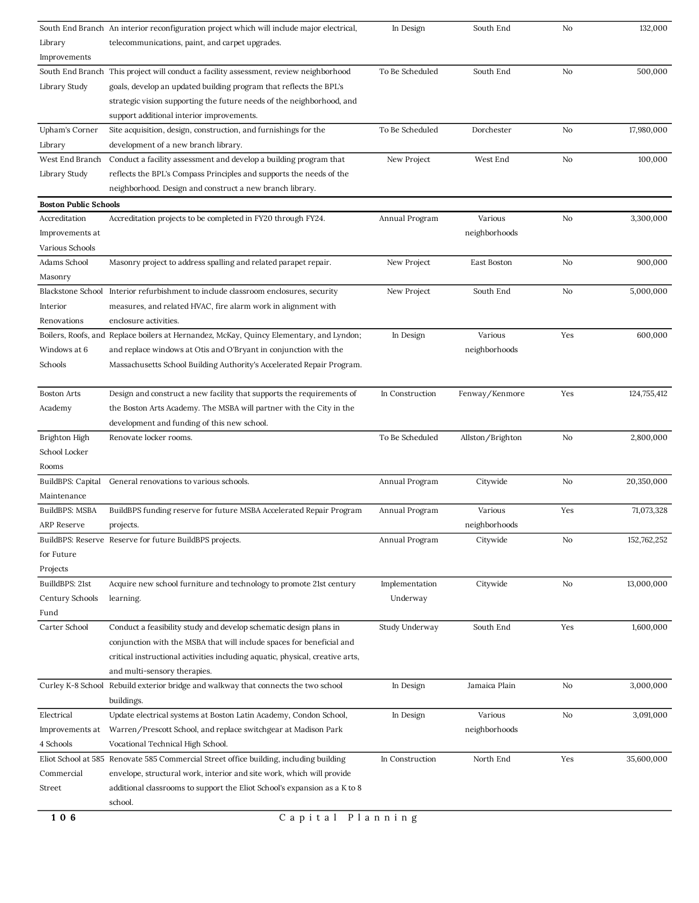|                              | South End Branch An interior reconfiguration project which will include major electrical, | In Design       | South End        | No  | 132,000     |
|------------------------------|-------------------------------------------------------------------------------------------|-----------------|------------------|-----|-------------|
| Library                      | telecommunications, paint, and carpet upgrades.                                           |                 |                  |     |             |
| Improvements                 |                                                                                           |                 |                  |     |             |
| South End Branch             | This project will conduct a facility assessment, review neighborhood                      | To Be Scheduled | South End        | No  | 500,000     |
| Library Study                | goals, develop an updated building program that reflects the BPL's                        |                 |                  |     |             |
|                              | strategic vision supporting the future needs of the neighborhood, and                     |                 |                  |     |             |
|                              | support additional interior improvements.                                                 |                 |                  |     |             |
| Upham's Corner               | Site acquisition, design, construction, and furnishings for the                           | To Be Scheduled | Dorchester       | No  | 17,980,000  |
| Library                      | development of a new branch library.                                                      |                 |                  |     |             |
| West End Branch              | Conduct a facility assessment and develop a building program that                         | New Project     | West End         | No  | 100,000     |
| Library Study                | reflects the BPL's Compass Principles and supports the needs of the                       |                 |                  |     |             |
|                              | neighborhood. Design and construct a new branch library.                                  |                 |                  |     |             |
| <b>Boston Public Schools</b> |                                                                                           |                 |                  |     |             |
| Accreditation                | Accreditation projects to be completed in FY20 through FY24.                              | Annual Program  | Various          | No  | 3,300,000   |
| Improvements at              |                                                                                           |                 | neighborhoods    |     |             |
| Various Schools              |                                                                                           |                 |                  |     |             |
| Adams School                 | Masonry project to address spalling and related parapet repair.                           | New Project     | East Boston      | No  | 900,000     |
| Masonry                      |                                                                                           |                 |                  |     |             |
| <b>Blackstone School</b>     | Interior refurbishment to include classroom enclosures, security                          | New Project     | South End        | No  | 5,000,000   |
| Interior                     | measures, and related HVAC, fire alarm work in alignment with                             |                 |                  |     |             |
| Renovations                  | enclosure activities.                                                                     |                 |                  |     |             |
| Boilers, Roofs, and          | Replace boilers at Hernandez, McKay, Quincy Elementary, and Lyndon;                       | In Design       | Various          | Yes | 600,000     |
| Windows at 6                 | and replace windows at Otis and O'Bryant in conjunction with the                          |                 | neighborhoods    |     |             |
| Schools                      | Massachusetts School Building Authority's Accelerated Repair Program.                     |                 |                  |     |             |
|                              |                                                                                           |                 |                  |     |             |
| <b>Boston Arts</b>           | Design and construct a new facility that supports the requirements of                     | In Construction | Fenway/Kenmore   | Yes | 124,755,412 |
| Academy                      | the Boston Arts Academy. The MSBA will partner with the City in the                       |                 |                  |     |             |
|                              | development and funding of this new school.                                               |                 |                  |     |             |
| Brighton High                | Renovate locker rooms.                                                                    | To Be Scheduled | Allston/Brighton | No  | 2,800,000   |
| School Locker                |                                                                                           |                 |                  |     |             |
| Rooms                        |                                                                                           |                 |                  |     |             |
| BuildBPS: Capital            | General renovations to various schools.                                                   | Annual Program  | Citywide         | No  | 20,350,000  |
| Maintenance                  |                                                                                           |                 |                  |     |             |
| BuildBPS: MSBA               | BuildBPS funding reserve for future MSBA Accelerated Repair Program                       | Annual Program  | Various          | Yes | 71,073,328  |
| ARP Reserve                  | projects.                                                                                 |                 | neighborhoods    |     |             |
|                              | BuildBPS: Reserve Reserve for future BuildBPS projects.                                   | Annual Program  | Citywide         | No  | 152,762,252 |
| for Future                   |                                                                                           |                 |                  |     |             |
| Projects                     |                                                                                           |                 |                  |     |             |
| BuilldBPS: 21st              | Acquire new school furniture and technology to promote 21st century                       | Implementation  | Citywide         | No  | 13,000,000  |
| Century Schools              | learning.                                                                                 | Underway        |                  |     |             |
| Fund                         |                                                                                           |                 |                  |     |             |
| Carter School                | Conduct a feasibility study and develop schematic design plans in                         | Study Underway  | South End        | Yes | 1,600,000   |
|                              | conjunction with the MSBA that will include spaces for beneficial and                     |                 |                  |     |             |
|                              | critical instructional activities including aquatic, physical, creative arts,             |                 |                  |     |             |
|                              | and multi-sensory therapies.                                                              |                 |                  |     |             |
|                              | Curley K-8 School Rebuild exterior bridge and walkway that connects the two school        | In Design       | Jamaica Plain    | No  | 3,000,000   |
|                              |                                                                                           |                 |                  |     |             |
| Electrical                   | buildings.                                                                                |                 | Various          | No  | 3,091,000   |
|                              | Update electrical systems at Boston Latin Academy, Condon School,                         | In Design       |                  |     |             |
| Improvements at              | Warren/Prescott School, and replace switchgear at Madison Park                            |                 | neighborhoods    |     |             |
| 4 Schools                    | Vocational Technical High School.                                                         |                 |                  |     |             |
|                              | Eliot School at 585 Renovate 585 Commercial Street office building, including building    | In Construction | North End        | Yes | 35,600,000  |
| Commercial                   | envelope, structural work, interior and site work, which will provide                     |                 |                  |     |             |
| Street                       | additional classrooms to support the Eliot School's expansion as a K to 8                 |                 |                  |     |             |
|                              | school.                                                                                   |                 |                  |     |             |
| 106                          | Capital Planning                                                                          |                 |                  |     |             |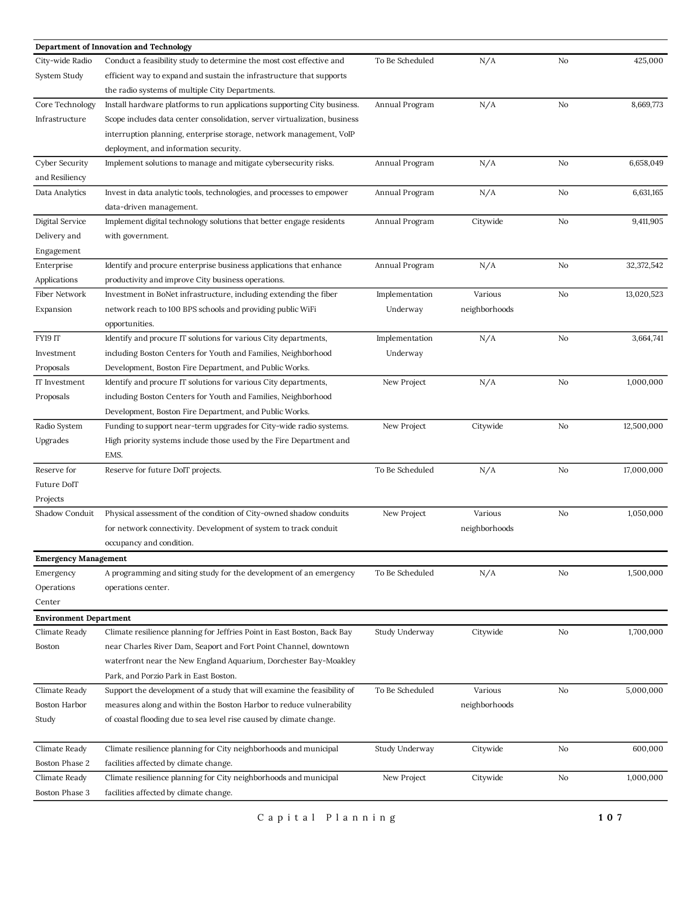|                                                | Department of Innovation and Technology                                   |                 |               |    |            |
|------------------------------------------------|---------------------------------------------------------------------------|-----------------|---------------|----|------------|
| City-wide Radio                                | Conduct a feasibility study to determine the most cost effective and      | To Be Scheduled | N/A           | No | 425,000    |
| System Study                                   | efficient way to expand and sustain the infrastructure that supports      |                 |               |    |            |
|                                                | the radio systems of multiple City Departments.                           |                 |               |    |            |
| Core Technology                                | Install hardware platforms to run applications supporting City business.  | Annual Program  | N/A           | No | 8,669,773  |
| Infrastructure                                 | Scope includes data center consolidation, server virtualization, business |                 |               |    |            |
|                                                | interruption planning, enterprise storage, network management, VoIP       |                 |               |    |            |
|                                                | deployment, and information security.                                     |                 |               |    |            |
| <b>Cyber Security</b>                          | Implement solutions to manage and mitigate cybersecurity risks.           | Annual Program  | N/A           | No | 6,658,049  |
| and Resiliency                                 |                                                                           |                 |               |    |            |
| Data Analytics                                 | Invest in data analytic tools, technologies, and processes to empower     | Annual Program  | N/A           | No | 6,631,165  |
|                                                | data-driven management.                                                   |                 |               |    |            |
| Digital Service                                | Implement digital technology solutions that better engage residents       | Annual Program  | Citywide      | No | 9,411,905  |
| Delivery and                                   | with government.                                                          |                 |               |    |            |
| Engagement                                     |                                                                           |                 |               |    |            |
| Enterprise                                     | Identify and procure enterprise business applications that enhance        | Annual Program  | N/A           | No | 32,372,542 |
| Applications                                   | productivity and improve City business operations.                        |                 |               |    |            |
| Fiber Network                                  | Investment in BoNet infrastructure, including extending the fiber         | Implementation  | Various       | No | 13,020,523 |
| Expansion                                      | network reach to 100 BPS schools and providing public WiFi                | Underway        | neighborhoods |    |            |
|                                                | opportunities.                                                            |                 |               |    |            |
| FY19 IT                                        | Identify and procure IT solutions for various City departments,           | Implementation  | N/A           | No | 3,664,741  |
| Investment                                     | including Boston Centers for Youth and Families, Neighborhood             | Underway        |               |    |            |
| Proposals                                      | Development, Boston Fire Department, and Public Works.                    |                 |               |    |            |
| IT Investment                                  | Identify and procure IT solutions for various City departments,           | New Project     | N/A           | No | 1,000,000  |
| Proposals                                      | including Boston Centers for Youth and Families, Neighborhood             |                 |               |    |            |
|                                                | Development, Boston Fire Department, and Public Works.                    |                 |               |    |            |
| Radio System                                   | Funding to support near-term upgrades for City-wide radio systems.        | New Project     | Citywide      | No | 12,500,000 |
| Upgrades                                       | High priority systems include those used by the Fire Department and       |                 |               |    |            |
|                                                | EMS.                                                                      |                 |               |    |            |
| Reserve for                                    | Reserve for future DoIT projects.                                         | To Be Scheduled | N/A           | No | 17,000,000 |
| Future DoIT                                    |                                                                           |                 |               |    |            |
| Projects                                       |                                                                           |                 |               |    |            |
| Shadow Conduit                                 | Physical assessment of the condition of City-owned shadow conduits        | New Project     | Various       | No | 1,050,000  |
|                                                | for network connectivity. Development of system to track conduit          |                 | neighborhoods |    |            |
|                                                | occupancy and condition.                                                  |                 |               |    |            |
| <b>Emergency Management</b>                    |                                                                           |                 |               |    |            |
| Emergency                                      | A programming and siting study for the development of an emergency        | To Be Scheduled | N/A           | No | 1,500,000  |
| Operations                                     | operations center.                                                        |                 |               |    |            |
| Center                                         |                                                                           |                 |               |    |            |
|                                                |                                                                           |                 |               |    |            |
| <b>Environment Department</b><br>Climate Ready | Climate resilience planning for Jeffries Point in East Boston, Back Bay   | Study Underway  | Citywide      | No | 1,700,000  |
| Boston                                         | near Charles River Dam, Seaport and Fort Point Channel, downtown          |                 |               |    |            |
|                                                | waterfront near the New England Aquarium, Dorchester Bay-Moakley          |                 |               |    |            |
|                                                | Park, and Porzio Park in East Boston.                                     |                 |               |    |            |
| Climate Ready                                  |                                                                           | To Be Scheduled | Various       | No | 5,000,000  |
| Boston Harbor                                  | Support the development of a study that will examine the feasibility of   |                 | neighborhoods |    |            |
|                                                | measures along and within the Boston Harbor to reduce vulnerability       |                 |               |    |            |
| Study                                          | of coastal flooding due to sea level rise caused by climate change.       |                 |               |    |            |
|                                                |                                                                           |                 |               |    |            |
| Climate Ready                                  | Climate resilience planning for City neighborhoods and municipal          | Study Underway  | Citywide      | No | 600,000    |
| Boston Phase 2                                 | facilities affected by climate change.                                    |                 |               |    |            |
| Climate Ready                                  | Climate resilience planning for City neighborhoods and municipal          | New Project     | Citywide      | No | 1,000,000  |
| Boston Phase 3                                 | facilities affected by climate change.                                    |                 |               |    |            |

C a p i t a l P l a n n i n g **1 0 7**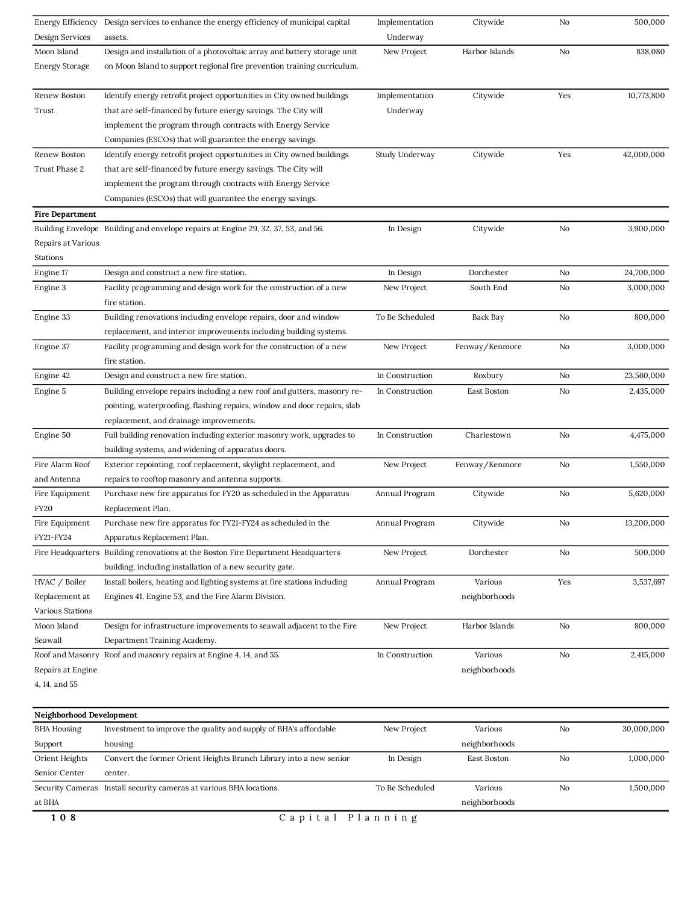| 108                      | Capital Planning                                                                                                         |                 |                |     |            |
|--------------------------|--------------------------------------------------------------------------------------------------------------------------|-----------------|----------------|-----|------------|
| at BHA                   |                                                                                                                          |                 | neighborhoods  |     |            |
|                          | Security Cameras Install security cameras at various BHA locations.                                                      | To Be Scheduled | Various        | No  | 1,500,000  |
| Senior Center            | center.                                                                                                                  |                 |                |     |            |
| Orient Heights           | Convert the former Orient Heights Branch Library into a new senior                                                       | In Design       | East Boston    | No  | 1,000,000  |
| Support                  | housing.                                                                                                                 |                 | neighborhoods  |     |            |
| <b>BHA Housing</b>       | Investment to improve the quality and supply of BHA's affordable                                                         | New Project     | Various        | No  | 30,000,000 |
| Neighborhood Development |                                                                                                                          |                 |                |     |            |
| 4, 14, and 55            |                                                                                                                          |                 |                |     |            |
| Repairs at Engine        |                                                                                                                          |                 | neighborhoods  |     |            |
| Roof and Masonry         | Roof and masonry repairs at Engine 4, 14, and 55.                                                                        | In Construction |                | No  | 2,415,000  |
|                          |                                                                                                                          |                 | Various        |     |            |
| Moon Island<br>Seawall   | Design for infrastructure improvements to seawall adjacent to the Fire<br>Department Training Academy.                   | New Project     |                | No  | 800,000    |
| Various Stations         |                                                                                                                          |                 | Harbor Islands |     |            |
| Replacement at           | Engines 41, Engine 53, and the Fire Alarm Division.                                                                      |                 | neighborhoods  |     |            |
| HVAC / Boiler            | Install boilers, heating and lighting systems at fire stations including                                                 | Annual Program  | Various        | Yes | 3,537,697  |
|                          | building, including installation of a new security gate.                                                                 |                 |                |     |            |
| Fire Headquarters        | Building renovations at the Boston Fire Department Headquarters                                                          | New Project     | Dorchester     | No  | 500,000    |
| FY21-FY24                | Apparatus Replacement Plan.                                                                                              |                 |                |     |            |
| Fire Equipment           | Purchase new fire apparatus for FY21-FY24 as scheduled in the                                                            | Annual Program  | Citywide       | No  | 13,200,000 |
| <b>FY20</b>              | Replacement Plan.                                                                                                        |                 |                |     |            |
| Fire Equipment           | Purchase new fire apparatus for FY20 as scheduled in the Apparatus                                                       | Annual Program  | Citywide       | No  | 5,620,000  |
| and Antenna              | repairs to rooftop masonry and antenna supports.                                                                         |                 |                |     |            |
| Fire Alarm Roof          | Exterior repointing, roof replacement, skylight replacement, and                                                         | New Project     | Fenway/Kenmore | No  | 1,550,000  |
|                          | building systems, and widening of apparatus doors.                                                                       |                 |                |     |            |
| Engine 50                | Full building renovation including exterior masonry work, upgrades to                                                    | In Construction | Charlestown    | No  | 4,475,000  |
|                          | replacement, and drainage improvements.                                                                                  |                 |                |     |            |
|                          | pointing, waterproofing, flashing repairs, window and door repairs, slab                                                 |                 |                |     |            |
| Engine 5                 | Building envelope repairs including a new roof and gutters, masonry re-                                                  | In Construction | East Boston    | No  | 2,435,000  |
| Engine 42                | Design and construct a new fire station.                                                                                 | In Construction | Roxbury        | No  | 23,560,000 |
|                          | fire station.                                                                                                            |                 |                |     |            |
| Engine 37                | Facility programming and design work for the construction of a new                                                       | New Project     | Fenway/Kenmore | No  | 3,000,000  |
|                          | replacement, and interior improvements including building systems.                                                       |                 |                |     |            |
| Engine 33                | Building renovations including envelope repairs, door and window                                                         | To Be Scheduled | Back Bay       | No  | 800,000    |
|                          | fire station.                                                                                                            |                 |                |     |            |
| Engine 3                 | Facility programming and design work for the construction of a new                                                       | New Project     | South End      | No  | 3,000,000  |
| Engine 17                | Design and construct a new fire station.                                                                                 | In Design       | Dorchester     | No  | 24,700,000 |
| Stations                 |                                                                                                                          |                 |                |     |            |
| Repairs at Various       |                                                                                                                          |                 |                |     |            |
| Building Envelope        | Building and envelope repairs at Engine 29, 32, 37, 53, and 56.                                                          | In Design       | Citywide       | No  | 3,900,000  |
| <b>Fire Department</b>   |                                                                                                                          |                 |                |     |            |
|                          | Companies (ESCOs) that will guarantee the energy savings.                                                                |                 |                |     |            |
|                          | implement the program through contracts with Energy Service                                                              |                 |                |     |            |
| Trust Phase 2            | that are self-financed by future energy savings. The City will                                                           |                 |                |     |            |
| Renew Boston             | Identify energy retrofit project opportunities in City owned buildings                                                   | Study Underway  | Citywide       | Yes | 42,000,000 |
|                          |                                                                                                                          |                 |                |     |            |
|                          | implement the program through contracts with Energy Service<br>Companies (ESCOs) that will guarantee the energy savings. |                 |                |     |            |
| Trust                    | that are self-financed by future energy savings. The City will                                                           | Underway        |                |     |            |
|                          | Identify energy retrofit project opportunities in City owned buildings                                                   | Implementation  | Citywide       |     |            |
| Renew Boston             |                                                                                                                          |                 |                | Yes | 10,773,800 |
| <b>Energy Storage</b>    | on Moon Island to support regional fire prevention training curriculum.                                                  |                 |                |     |            |
| Moon Island              | Design and installation of a photovoltaic array and battery storage unit                                                 | New Project     | Harbor Islands | No  | 838,080    |
| Design Services          | assets.                                                                                                                  | Underway        |                |     |            |
| Energy Efficiency        | Design services to enhance the energy efficiency of municipal capital                                                    | Implementation  | Citywide       | No  | 500,000    |
|                          |                                                                                                                          |                 |                |     |            |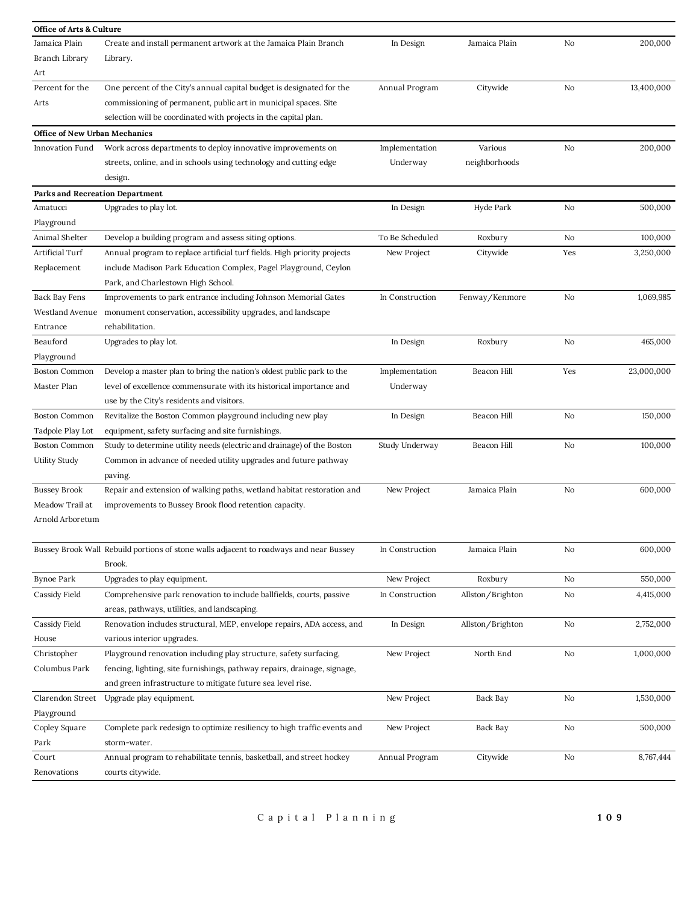| <b>Office of Arts &amp; Culture</b>  |                                                                                        |                 |                  |     |            |
|--------------------------------------|----------------------------------------------------------------------------------------|-----------------|------------------|-----|------------|
| Jamaica Plain                        | Create and install permanent artwork at the Jamaica Plain Branch                       | In Design       | Jamaica Plain    | No  | 200,000    |
| Branch Library                       | Library.                                                                               |                 |                  |     |            |
| Art                                  |                                                                                        |                 |                  |     |            |
| Percent for the                      | One percent of the City's annual capital budget is designated for the                  | Annual Program  | Citywide         | No  | 13,400,000 |
| Arts                                 | commissioning of permanent, public art in municipal spaces. Site                       |                 |                  |     |            |
|                                      | selection will be coordinated with projects in the capital plan.                       |                 |                  |     |            |
| <b>Office of New Urban Mechanics</b> |                                                                                        |                 |                  |     |            |
| Innovation Fund                      | Work across departments to deploy innovative improvements on                           | Implementation  | Various          | No  | 200,000    |
|                                      | streets, online, and in schools using technology and cutting edge                      | Underway        | neighborhoods    |     |            |
|                                      | design.                                                                                |                 |                  |     |            |
| Parks and Recreation Department      |                                                                                        |                 |                  |     |            |
| Amatucci                             | Upgrades to play lot.                                                                  | In Design       | Hyde Park        | No  | 500,000    |
| Playground                           |                                                                                        |                 |                  |     |            |
| Animal Shelter                       | Develop a building program and assess siting options.                                  | To Be Scheduled | Roxbury          | No  | 100,000    |
| Artificial Turf                      | Annual program to replace artificial turf fields. High priority projects               | New Project     | Citywide         | Yes | 3,250,000  |
| Replacement                          | include Madison Park Education Complex, Pagel Playground, Ceylon                       |                 |                  |     |            |
|                                      | Park, and Charlestown High School.                                                     |                 |                  |     |            |
| Back Bay Fens                        | Improvements to park entrance including Johnson Memorial Gates                         | In Construction | Fenway/Kenmore   | No  | 1,069,985  |
| Westland Avenue                      | monument conservation, accessibility upgrades, and landscape                           |                 |                  |     |            |
| Entrance                             | rehabilitation.                                                                        |                 |                  |     |            |
| Beauford                             | Upgrades to play lot.                                                                  | In Design       | Roxbury          | No  | 465,000    |
| Playground                           |                                                                                        |                 |                  |     |            |
| <b>Boston Common</b>                 | Develop a master plan to bring the nation's oldest public park to the                  | Implementation  | Beacon Hill      | Yes | 23,000,000 |
| Master Plan                          | level of excellence commensurate with its historical importance and                    | Underway        |                  |     |            |
|                                      | use by the City's residents and visitors.                                              |                 |                  |     |            |
| <b>Boston Common</b>                 | Revitalize the Boston Common playground including new play                             | In Design       | Beacon Hill      | No  | 150,000    |
| Tadpole Play Lot                     | equipment, safety surfacing and site furnishings.                                      |                 |                  |     |            |
| <b>Boston Common</b>                 | Study to determine utility needs (electric and drainage) of the Boston                 | Study Underway  | Beacon Hill      | No  | 100,000    |
| Utility Study                        | Common in advance of needed utility upgrades and future pathway                        |                 |                  |     |            |
|                                      | paving.                                                                                |                 |                  |     |            |
| <b>Bussey Brook</b>                  | Repair and extension of walking paths, wetland habitat restoration and                 | New Project     | Jamaica Plain    | No  | 600,000    |
| Meadow Trail at                      | improvements to Bussey Brook flood retention capacity.                                 |                 |                  |     |            |
| Arnold Arboretum                     |                                                                                        |                 |                  |     |            |
|                                      |                                                                                        |                 |                  |     |            |
|                                      | Bussey Brook Wall Rebuild portions of stone walls adjacent to roadways and near Bussey | In Construction | Jamaica Plain    | No  | 600,000    |
|                                      | Brook.                                                                                 |                 |                  |     |            |
| <b>Bynoe Park</b>                    | Upgrades to play equipment.                                                            | New Project     | Roxbury          | No  | 550,000    |
| Cassidy Field                        | Comprehensive park renovation to include ballfields, courts, passive                   | In Construction | Allston/Brighton | No  | 4,415,000  |
|                                      | areas, pathways, utilities, and landscaping.                                           |                 |                  |     |            |
| Cassidy Field                        | Renovation includes structural, MEP, envelope repairs, ADA access, and                 | In Design       | Allston/Brighton | No  | 2,752,000  |
| House                                | various interior upgrades.                                                             |                 |                  |     |            |
| Christopher                          | Playground renovation including play structure, safety surfacing,                      | New Project     | North End        | No  | 1,000,000  |
| Columbus Park                        | fencing, lighting, site furnishings, pathway repairs, drainage, signage,               |                 |                  |     |            |
|                                      | and green infrastructure to mitigate future sea level rise.                            |                 |                  |     |            |
| Clarendon Street                     | Upgrade play equipment.                                                                | New Project     | Back Bay         | No  | 1,530,000  |
| Playground                           |                                                                                        |                 |                  |     |            |
| Copley Square                        | Complete park redesign to optimize resiliency to high traffic events and               | New Project     | Back Bay         | No  | 500,000    |
| Park                                 | storm-water.                                                                           |                 |                  |     |            |
| Court                                | Annual program to rehabilitate tennis, basketball, and street hockey                   | Annual Program  | Citywide         | No  | 8,767,444  |
| Renovations                          | courts citywide.                                                                       |                 |                  |     |            |
|                                      |                                                                                        |                 |                  |     |            |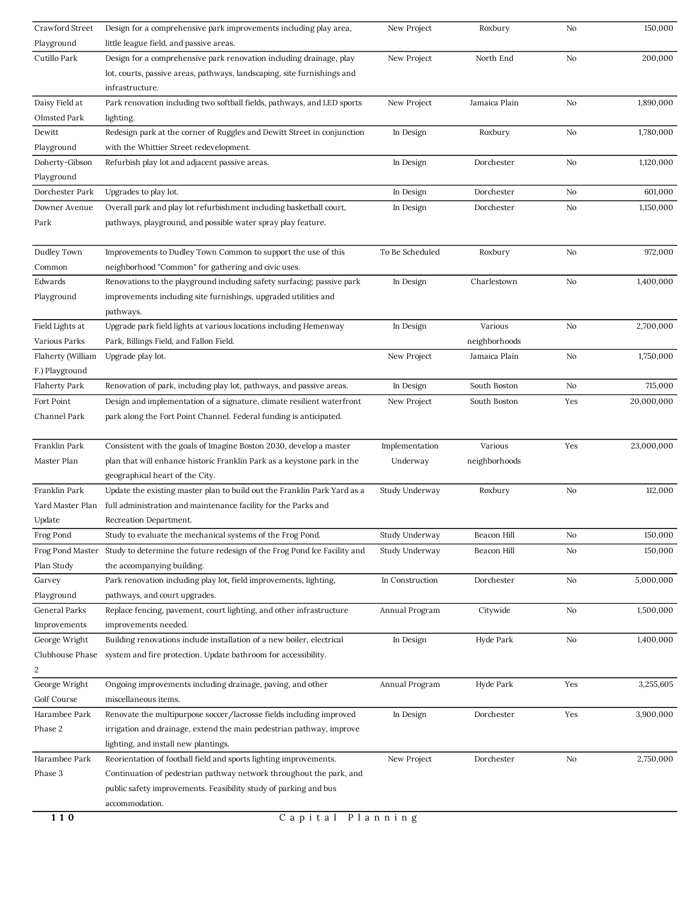| Crawford Street      | Design for a comprehensive park improvements including play area,        | New Project     | Roxbury       | No  | 150,000    |
|----------------------|--------------------------------------------------------------------------|-----------------|---------------|-----|------------|
| Playground           | little league field, and passive areas.                                  |                 |               |     |            |
| Cutillo Park         | Design for a comprehensive park renovation including drainage, play      | New Project     | North End     | No  | 200,000    |
|                      | lot, courts, passive areas, pathways, landscaping, site furnishings and  |                 |               |     |            |
|                      | infrastructure.                                                          |                 |               |     |            |
| Daisy Field at       | Park renovation including two softball fields, pathways, and LED sports  | New Project     | Jamaica Plain | No  | 1,890,000  |
| Olmsted Park         | lighting.                                                                |                 |               |     |            |
| Dewitt               | Redesign park at the corner of Ruggles and Dewitt Street in conjunction  | In Design       | Roxbury       | No  | 1,780,000  |
| Playground           | with the Whittier Street redevelopment.                                  |                 |               |     |            |
| Doherty-Gibson       | Refurbish play lot and adjacent passive areas.                           | In Design       | Dorchester    | No  | 1,120,000  |
| Playground           |                                                                          |                 |               |     |            |
| Dorchester Park      | Upgrades to play lot.                                                    | In Design       | Dorchester    | No  | 601,000    |
| Downer Avenue        | Overall park and play lot refurbishment including basketball court,      | In Design       | Dorchester    | No  | 1,150,000  |
| Park                 | pathways, playground, and possible water spray play feature.             |                 |               |     |            |
| Dudley Town          | Improvements to Dudley Town Common to support the use of this            | To Be Scheduled | Roxbury       | No  | 972,000    |
| Common               | neighborhood "Common" for gathering and civic uses.                      |                 |               |     |            |
| Edwards              | Renovations to the playground including safety surfacing; passive park   | In Design       | Charlestown   | No  | 1,400,000  |
| Playground           | improvements including site furnishings, upgraded utilities and          |                 |               |     |            |
|                      | pathways.                                                                |                 |               |     |            |
| Field Lights at      | Upgrade park field lights at various locations including Hemenway        | In Design       | Various       | No  | 2,700,000  |
| Various Parks        | Park, Billings Field, and Fallon Field.                                  |                 | neighborhoods |     |            |
| Flaherty (William    | Upgrade play lot.                                                        | New Project     | Jamaica Plain | No  | 1,750,000  |
| F.) Playground       |                                                                          |                 |               |     |            |
| <b>Flaherty Park</b> | Renovation of park, including play lot, pathways, and passive areas.     | In Design       | South Boston  | No  | 715,000    |
| Fort Point           | Design and implementation of a signature, climate resilient waterfront   | New Project     | South Boston  | Yes | 20,000,000 |
| Channel Park         | park along the Fort Point Channel. Federal funding is anticipated.       |                 |               |     |            |
| Franklin Park        | Consistent with the goals of Imagine Boston 2030, develop a master       | Implementation  | Various       | Yes | 23,000,000 |
| Master Plan          | plan that will enhance historic Franklin Park as a keystone park in the  | Underway        | neighborhoods |     |            |
|                      | geographical heart of the City.                                          |                 |               |     |            |
| Franklin Park        | Update the existing master plan to build out the Franklin Park Yard as a | Study Underway  | Roxbury       | No  | 112,000    |
| Yard Master Plan     | full administration and maintenance facility for the Parks and           |                 |               |     |            |
| Update               | Recreation Department.                                                   |                 |               |     |            |
| Frog Pond            | Study to evaluate the mechanical systems of the Frog Pond.               | Study Underway  | Beacon Hill   | No  | 150,000    |
| Frog Pond Master     | Study to determine the future redesign of the Frog Pond Ice Facility and | Study Underway  | Beacon Hill   | No  | 150,000    |
| Plan Study           | the accompanying building.                                               |                 |               |     |            |
| Garvey               | Park renovation including play lot, field improvements, lighting,        | In Construction | Dorchester    | No  | 5,000,000  |
| Playground           | pathways, and court upgrades.                                            |                 |               |     |            |
| General Parks        | Replace fencing, pavement, court lighting, and other infrastructure      | Annual Program  | Citywide      | No  | 1,500,000  |
| Improvements         | improvements needed.                                                     |                 |               |     |            |
| George Wright        | Building renovations include installation of a new boiler, electrical    | In Design       | Hyde Park     | No  | 1,400,000  |
| Clubhouse Phase      | system and fire protection. Update bathroom for accessibility.           |                 |               |     |            |
| $\overline{2}$       |                                                                          |                 |               |     |            |
| George Wright        | Ongoing improvements including drainage, paving, and other               | Annual Program  | Hyde Park     | Yes | 3,255,605  |
| Golf Course          | miscellaneous items.                                                     |                 |               |     |            |
| Harambee Park        | Renovate the multipurpose soccer/lacrosse fields including improved      | In Design       | Dorchester    | Yes | 3,900,000  |
| Phase 2              | irrigation and drainage, extend the main pedestrian pathway, improve     |                 |               |     |            |
|                      | lighting, and install new plantings.                                     |                 |               |     |            |
| Harambee Park        | Reorientation of football field and sports lighting improvements.        | New Project     | Dorchester    | No  | 2,750,000  |
| Phase 3              | Continuation of pedestrian pathway network throughout the park, and      |                 |               |     |            |
|                      | public safety improvements. Feasibility study of parking and bus         |                 |               |     |            |
|                      | accommodation.                                                           |                 |               |     |            |
| 110                  | Capital                                                                  | Planning        |               |     |            |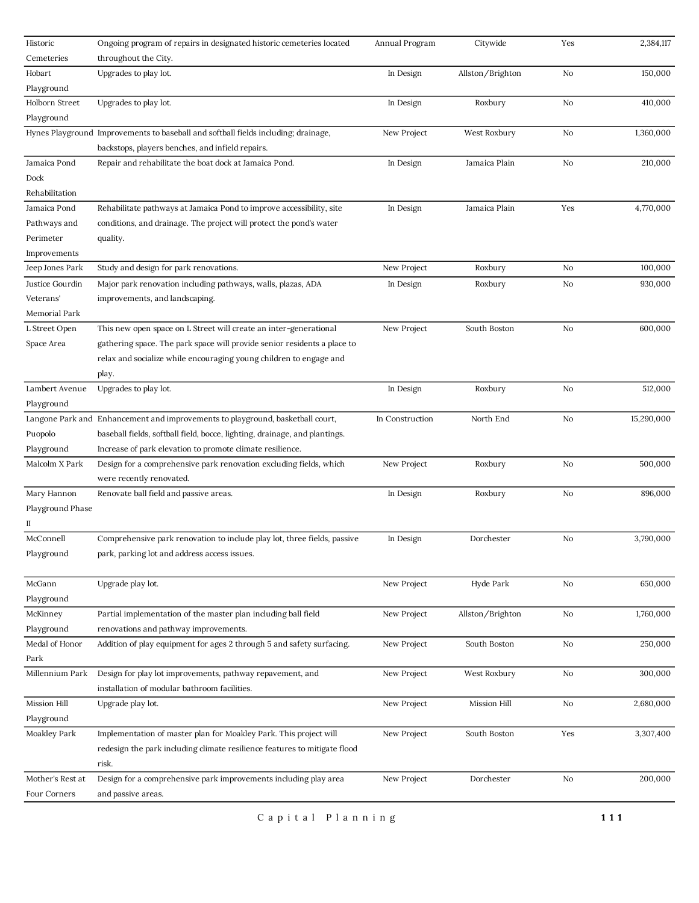| Historic         | Ongoing program of repairs in designated historic cemeteries located               | Annual Program  | Citywide         | Yes | 2,384,117  |
|------------------|------------------------------------------------------------------------------------|-----------------|------------------|-----|------------|
| Cemeteries       | throughout the City.                                                               |                 |                  |     |            |
| Hobart           | Upgrades to play lot.                                                              | In Design       | Allston/Brighton | No  | 150,000    |
| Playground       |                                                                                    |                 |                  |     |            |
| Holborn Street   | Upgrades to play lot.                                                              | In Design       | Roxbury          | No  | 410,000    |
| Playground       |                                                                                    |                 |                  |     |            |
|                  | Hynes Playground Improvements to baseball and softball fields including; drainage, | New Project     | West Roxbury     | No  | 1,360,000  |
|                  | backstops, players benches, and infield repairs.                                   |                 |                  |     |            |
| Jamaica Pond     | Repair and rehabilitate the boat dock at Jamaica Pond.                             | In Design       | Jamaica Plain    | No  | 210,000    |
| Dock             |                                                                                    |                 |                  |     |            |
| Rehabilitation   |                                                                                    |                 |                  |     |            |
| Jamaica Pond     | Rehabilitate pathways at Jamaica Pond to improve accessibility, site               | In Design       | Jamaica Plain    | Yes | 4,770,000  |
| Pathways and     | conditions, and drainage. The project will protect the pond's water                |                 |                  |     |            |
| Perimeter        | quality.                                                                           |                 |                  |     |            |
| Improvements     |                                                                                    |                 |                  |     |            |
| Jeep Jones Park  | Study and design for park renovations.                                             | New Project     | Roxbury          | No  | 100,000    |
| Justice Gourdin  | Major park renovation including pathways, walls, plazas, ADA                       | In Design       | Roxbury          | No  | 930,000    |
| Veterans'        | improvements, and landscaping.                                                     |                 |                  |     |            |
| Memorial Park    |                                                                                    |                 |                  |     |            |
| L Street Open    | This new open space on L Street will create an inter-generational                  | New Project     | South Boston     | No  | 600,000    |
| Space Area       | gathering space. The park space will provide senior residents a place to           |                 |                  |     |            |
|                  | relax and socialize while encouraging young children to engage and                 |                 |                  |     |            |
|                  | play.                                                                              |                 |                  |     |            |
| Lambert Avenue   | Upgrades to play lot.                                                              | In Design       | Roxbury          | No  | 512,000    |
| Playground       |                                                                                    |                 |                  |     |            |
|                  | Langone Park and Enhancement and improvements to playground, basketball court,     | In Construction | North End        | No  | 15,290,000 |
| Puopolo          | baseball fields, softball field, bocce, lighting, drainage, and plantings.         |                 |                  |     |            |
| Playground       | Increase of park elevation to promote climate resilience.                          |                 |                  |     |            |
| Malcolm X Park   | Design for a comprehensive park renovation excluding fields, which                 | New Project     | Roxbury          | No  | 500,000    |
|                  | were recently renovated.                                                           |                 |                  |     |            |
| Mary Hannon      | Renovate ball field and passive areas.                                             | In Design       | Roxbury          | No  | 896,000    |
| Playground Phase |                                                                                    |                 |                  |     |            |
| П                |                                                                                    |                 |                  |     |            |
| McConnell        | Comprehensive park renovation to include play lot, three fields, passive           | In Design       | Dorchester       | No  | 3,790,000  |
| Playground       | park, parking lot and address access issues.                                       |                 |                  |     |            |
|                  |                                                                                    |                 |                  |     |            |
| McGann           | Upgrade play lot.                                                                  | New Project     | Hyde Park        | No  | 650,000    |
| Playground       |                                                                                    |                 |                  |     |            |
| McKinney         | Partial implementation of the master plan including ball field                     | New Project     | Allston/Brighton | No  | 1,760,000  |
| Playground       | renovations and pathway improvements.                                              |                 |                  |     |            |
| Medal of Honor   | Addition of play equipment for ages 2 through 5 and safety surfacing.              | New Project     | South Boston     | No  | 250,000    |
| Park             |                                                                                    |                 |                  |     |            |
| Millennium Park  | Design for play lot improvements, pathway repavement, and                          | New Project     | West Roxbury     | No  | 300,000    |
|                  | installation of modular bathroom facilities.                                       |                 |                  |     |            |
| Mission Hill     | Upgrade play lot.                                                                  | New Project     | Mission Hill     | No  | 2,680,000  |
| Playground       |                                                                                    |                 |                  |     |            |
| Moakley Park     | Implementation of master plan for Moakley Park. This project will                  | New Project     | South Boston     | Yes | 3,307,400  |
|                  | redesign the park including climate resilience features to mitigate flood          |                 |                  |     |            |
|                  | risk.                                                                              |                 |                  |     |            |
| Mother's Rest at | Design for a comprehensive park improvements including play area                   | New Project     | Dorchester       | No  | 200,000    |
| Four Corners     | and passive areas.                                                                 |                 |                  |     |            |
|                  |                                                                                    |                 |                  |     |            |

C a p i t a l P l a n n i n g **111**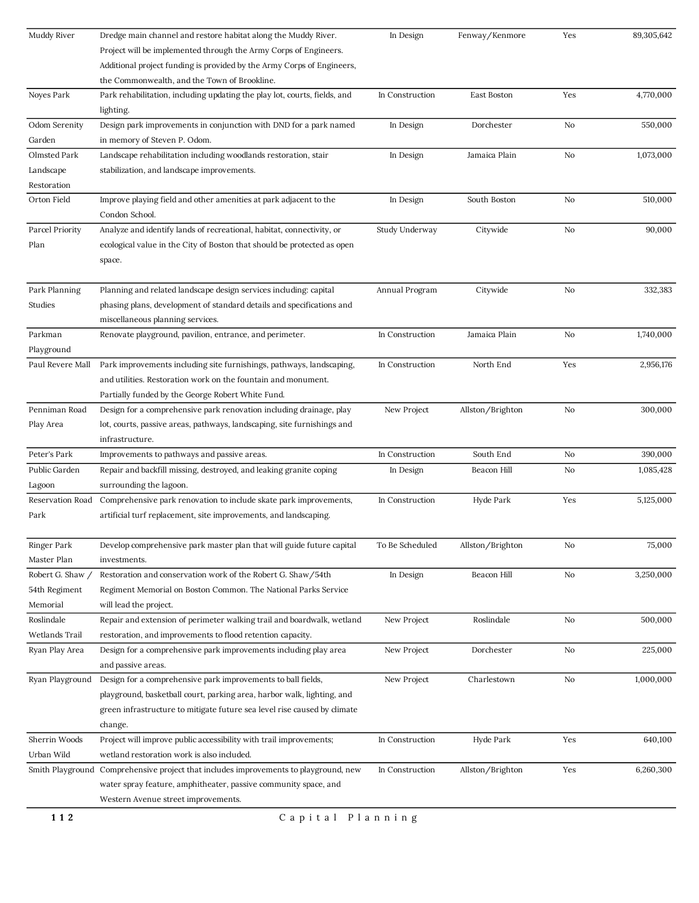| Muddy River      | Dredge main channel and restore habitat along the Muddy River.                       | In Design       | Fenway/Kenmore   | Yes | 89,305,642 |
|------------------|--------------------------------------------------------------------------------------|-----------------|------------------|-----|------------|
|                  | Project will be implemented through the Army Corps of Engineers.                     |                 |                  |     |            |
|                  | Additional project funding is provided by the Army Corps of Engineers,               |                 |                  |     |            |
|                  | the Commonwealth, and the Town of Brookline.                                         |                 |                  |     |            |
| Noyes Park       | Park rehabilitation, including updating the play lot, courts, fields, and            | In Construction | East Boston      | Yes | 4,770,000  |
|                  | lighting.                                                                            |                 |                  |     |            |
| Odom Serenity    | Design park improvements in conjunction with DND for a park named                    | In Design       | Dorchester       | No  | 550,000    |
| Garden           | in memory of Steven P. Odom.                                                         |                 |                  |     |            |
| Olmsted Park     | Landscape rehabilitation including woodlands restoration, stair                      | In Design       | Jamaica Plain    | No  | 1,073,000  |
| Landscape        | stabilization, and landscape improvements.                                           |                 |                  |     |            |
| Restoration      |                                                                                      |                 |                  |     |            |
| Orton Field      | Improve playing field and other amenities at park adjacent to the                    | In Design       | South Boston     | No  | 510,000    |
|                  | Condon School.                                                                       |                 |                  |     |            |
| Parcel Priority  | Analyze and identify lands of recreational, habitat, connectivity, or                | Study Underway  | Citywide         | No  | 90,000     |
| Plan             | ecological value in the City of Boston that should be protected as open              |                 |                  |     |            |
|                  | space.                                                                               |                 |                  |     |            |
|                  |                                                                                      |                 |                  |     |            |
| Park Planning    | Planning and related landscape design services including: capital                    | Annual Program  | Citywide         | No  | 332,383    |
| Studies          | phasing plans, development of standard details and specifications and                |                 |                  |     |            |
|                  | miscellaneous planning services.                                                     |                 |                  |     |            |
| Parkman          | Renovate playground, pavilion, entrance, and perimeter.                              | In Construction | Jamaica Plain    | No  | 1,740,000  |
| Playground       |                                                                                      |                 |                  |     |            |
| Paul Revere Mall | Park improvements including site furnishings, pathways, landscaping,                 | In Construction | North End        | Yes | 2,956,176  |
|                  | and utilities. Restoration work on the fountain and monument.                        |                 |                  |     |            |
|                  | Partially funded by the George Robert White Fund.                                    |                 |                  |     |            |
| Penniman Road    | Design for a comprehensive park renovation including drainage, play                  | New Project     | Allston/Brighton | No  | 300,000    |
| Play Area        | lot, courts, passive areas, pathways, landscaping, site furnishings and              |                 |                  |     |            |
|                  | infrastructure.                                                                      |                 |                  |     |            |
| Peter's Park     | Improvements to pathways and passive areas.                                          | In Construction | South End        | No  | 390,000    |
| Public Garden    | Repair and backfill missing, destroyed, and leaking granite coping                   | In Design       | Beacon Hill      | No  | 1,085,428  |
| Lagoon           | surrounding the lagoon.                                                              |                 |                  |     |            |
| Reservation Road | Comprehensive park renovation to include skate park improvements,                    | In Construction | Hyde Park        | Yes | 5,125,000  |
| Park             | artificial turf replacement, site improvements, and landscaping.                     |                 |                  |     |            |
|                  |                                                                                      |                 |                  |     |            |
| Ringer Park      | Develop comprehensive park master plan that will guide future capital                | To Be Scheduled | Allston/Brighton | No  | 75,000     |
| Master Plan      | investments.                                                                         |                 |                  |     |            |
| Robert G. Shaw / | Restoration and conservation work of the Robert G. Shaw/54th                         | In Design       | Beacon Hill      | No  | 3,250,000  |
| 54th Regiment    | Regiment Memorial on Boston Common. The National Parks Service                       |                 |                  |     |            |
| Memorial         | will lead the project.                                                               |                 |                  |     |            |
| Roslindale       | Repair and extension of perimeter walking trail and boardwalk, wetland               | New Project     | Roslindale       | No  | 500,000    |
| Wetlands Trail   | restoration, and improvements to flood retention capacity.                           |                 |                  |     |            |
| Ryan Play Area   | Design for a comprehensive park improvements including play area                     | New Project     | Dorchester       | No  | 225,000    |
|                  | and passive areas.                                                                   |                 |                  |     |            |
| Ryan Playground  | Design for a comprehensive park improvements to ball fields,                         | New Project     | Charlestown      | No  | 1,000,000  |
|                  | playground, basketball court, parking area, harbor walk, lighting, and               |                 |                  |     |            |
|                  |                                                                                      |                 |                  |     |            |
|                  | green infrastructure to mitigate future sea level rise caused by climate             |                 |                  |     |            |
|                  | change.                                                                              |                 |                  |     |            |
| Sherrin Woods    | Project will improve public accessibility with trail improvements;                   | In Construction | Hyde Park        | Yes | 640,100    |
| Urban Wild       | wetland restoration work is also included.                                           |                 |                  |     |            |
|                  | Smith Playground Comprehensive project that includes improvements to playground, new | In Construction | Allston/Brighton | Yes | 6,260,300  |
|                  | water spray feature, amphitheater, passive community space, and                      |                 |                  |     |            |
|                  | Western Avenue street improvements.                                                  |                 |                  |     |            |
| 112              | Capital Planning                                                                     |                 |                  |     |            |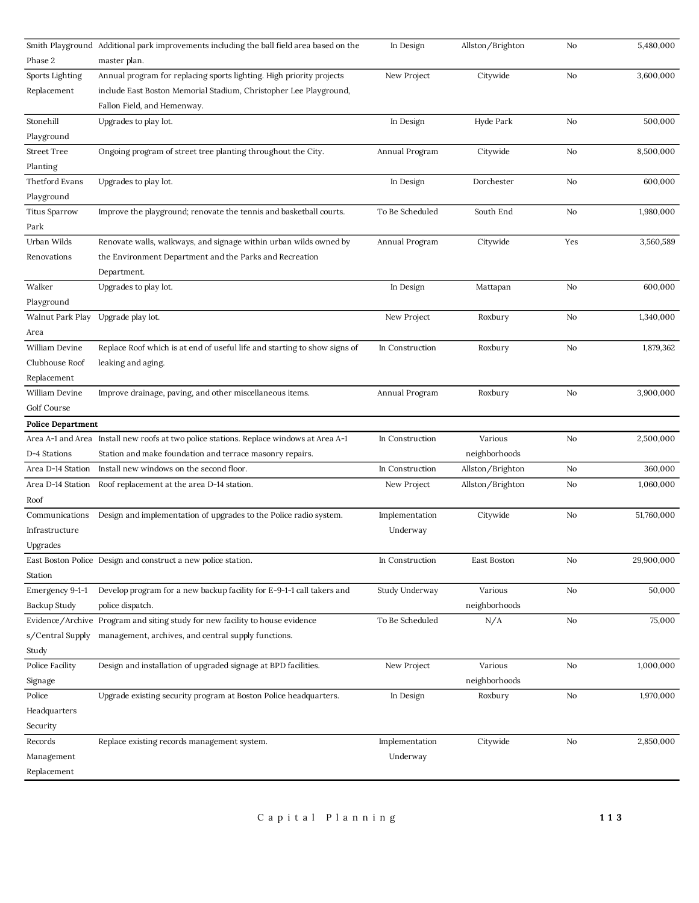|                           | Smith Playground Additional park improvements including the ball field area based on the | In Design       | Allston/Brighton | No  | 5,480,000  |
|---------------------------|------------------------------------------------------------------------------------------|-----------------|------------------|-----|------------|
| Phase 2                   | master plan.                                                                             |                 |                  |     |            |
| Sports Lighting           | Annual program for replacing sports lighting. High priority projects                     | New Project     | Citywide         | No  | 3,600,000  |
| Replacement               | include East Boston Memorial Stadium, Christopher Lee Playground,                        |                 |                  |     |            |
|                           | Fallon Field, and Hemenway.                                                              |                 |                  |     |            |
| Stonehill                 | Upgrades to play lot.                                                                    | In Design       | Hyde Park        | No  | 500,000    |
| Playground                |                                                                                          |                 |                  |     |            |
| <b>Street Tree</b>        | Ongoing program of street tree planting throughout the City.                             | Annual Program  | Citywide         | No  | 8,500,000  |
| Planting                  |                                                                                          |                 |                  |     |            |
| Thetford Evans            | Upgrades to play lot.                                                                    | In Design       | Dorchester       | No  | 600,000    |
| Playground                |                                                                                          |                 |                  |     |            |
| <b>Titus Sparrow</b>      | Improve the playground; renovate the tennis and basketball courts.                       | To Be Scheduled | South End        | No  | 1,980,000  |
| Park                      |                                                                                          |                 |                  |     |            |
| Urban Wilds               | Renovate walls, walkways, and signage within urban wilds owned by                        | Annual Program  | Citywide         | Yes | 3,560,589  |
| Renovations               | the Environment Department and the Parks and Recreation                                  |                 |                  |     |            |
|                           | Department.                                                                              |                 |                  |     |            |
| Walker                    | Upgrades to play lot.                                                                    | In Design       | Mattapan         | No  | 600,000    |
| Playground                |                                                                                          |                 |                  |     |            |
| Walnut Park Play          | Upgrade play lot.                                                                        | New Project     | Roxbury          | No  | 1,340,000  |
| Area                      |                                                                                          |                 |                  |     |            |
| William Devine            | Replace Roof which is at end of useful life and starting to show signs of                | In Construction | Roxbury          | No  | 1,879,362  |
| Clubhouse Roof            | leaking and aging.                                                                       |                 |                  |     |            |
| Replacement               |                                                                                          |                 |                  |     |            |
| William Devine            | Improve drainage, paving, and other miscellaneous items.                                 | Annual Program  | Roxbury          | No  | 3,900,000  |
| Golf Course               |                                                                                          |                 |                  |     |            |
|                           |                                                                                          |                 |                  |     |            |
|                           |                                                                                          |                 |                  |     |            |
| <b>Police Department</b>  |                                                                                          |                 |                  |     |            |
|                           | Area A-1 and Area Install new roofs at two police stations. Replace windows at Area A-1  | In Construction | Various          | No  | 2,500,000  |
| D-4 Stations              | Station and make foundation and terrace masonry repairs.                                 |                 | neighborhoods    | No  |            |
| Area D-14 Station         | Install new windows on the second floor.                                                 | In Construction | Allston/Brighton |     | 360,000    |
| Area D-14 Station         | Roof replacement at the area D-14 station.                                               | New Project     | Allston/Brighton | No  | 1,060,000  |
| Roof                      |                                                                                          |                 |                  |     |            |
| Communications            | Design and implementation of upgrades to the Police radio system.                        | Implementation  | Citywide         | No  | 51,760,000 |
| Infrastructure            |                                                                                          | Underway        |                  |     |            |
| Upgrades                  |                                                                                          |                 |                  |     |            |
|                           | East Boston Police Design and construct a new police station.                            | In Construction | East Boston      | No  | 29,900,000 |
| Station                   |                                                                                          |                 |                  |     |            |
| Emergency 9-1-1           | Develop program for a new backup facility for E-9-1-1 call takers and                    | Study Underway  | Various          | No  | 50,000     |
| Backup Study              | police dispatch.                                                                         |                 | neighborhoods    |     |            |
|                           | Evidence/Archive Program and siting study for new facility to house evidence             | To Be Scheduled | N/A              | No  | 75,000     |
| s/Central Supply          | management, archives, and central supply functions.                                      |                 |                  |     |            |
| Study                     |                                                                                          |                 |                  |     |            |
| Police Facility           | Design and installation of upgraded signage at BPD facilities.                           | New Project     | Various          | No  | 1,000,000  |
| Signage                   |                                                                                          |                 | neighborhoods    |     |            |
| Police                    | Upgrade existing security program at Boston Police headquarters.                         | In Design       | Roxbury          | No  | 1,970,000  |
| Headquarters              |                                                                                          |                 |                  |     |            |
| Security                  |                                                                                          |                 |                  |     |            |
| Records                   | Replace existing records management system.                                              | Implementation  | Citywide         | No  | 2,850,000  |
| Management<br>Replacement |                                                                                          | Underway        |                  |     |            |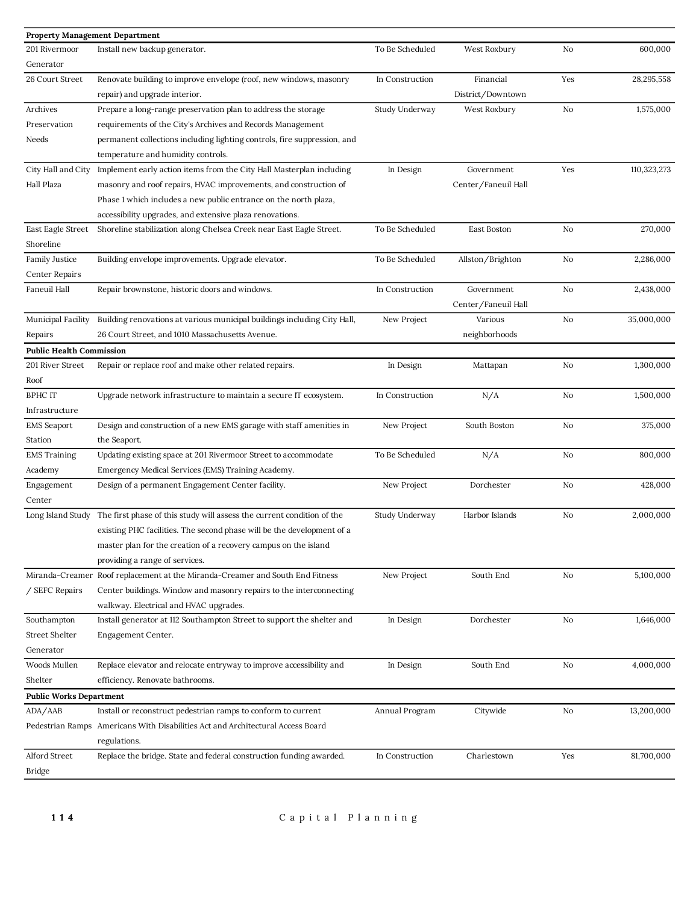| <b>Property Management Department</b> |                                                                                 |                 |                     |     |             |
|---------------------------------------|---------------------------------------------------------------------------------|-----------------|---------------------|-----|-------------|
| 201 Rivermoor                         | Install new backup generator.                                                   | To Be Scheduled | West Roxbury        | No  | 600,000     |
| Generator                             |                                                                                 |                 |                     |     |             |
| 26 Court Street                       | Renovate building to improve envelope (roof, new windows, masonry               | In Construction | Financial           | Yes | 28,295,558  |
|                                       | repair) and upgrade interior.                                                   |                 | District/Downtown   |     |             |
| Archives                              | Prepare a long-range preservation plan to address the storage                   | Study Underway  | West Roxbury        | No  | 1,575,000   |
| Preservation                          | requirements of the City's Archives and Records Management                      |                 |                     |     |             |
| Needs                                 | permanent collections including lighting controls, fire suppression, and        |                 |                     |     |             |
|                                       | temperature and humidity controls.                                              |                 |                     |     |             |
| City Hall and City                    | Implement early action items from the City Hall Masterplan including            | In Design       | Government          | Yes | 110,323,273 |
| Hall Plaza                            | masonry and roof repairs, HVAC improvements, and construction of                |                 | Center/Faneuil Hall |     |             |
|                                       | Phase 1 which includes a new public entrance on the north plaza,                |                 |                     |     |             |
|                                       | accessibility upgrades, and extensive plaza renovations.                        |                 |                     |     |             |
| East Eagle Street                     | Shoreline stabilization along Chelsea Creek near East Eagle Street.             | To Be Scheduled | East Boston         | No  | 270,000     |
| Shoreline                             |                                                                                 |                 |                     |     |             |
| Family Justice                        | Building envelope improvements. Upgrade elevator.                               | To Be Scheduled | Allston/Brighton    | No  | 2,286,000   |
| Center Repairs                        |                                                                                 |                 |                     |     |             |
| Faneuil Hall                          | Repair brownstone, historic doors and windows.                                  | In Construction | Government          | No  | 2,438,000   |
|                                       |                                                                                 |                 | Center/Faneuil Hall |     |             |
| Municipal Facility                    | Building renovations at various municipal buildings including City Hall,        | New Project     | Various             | No  | 35,000,000  |
| Repairs                               | 26 Court Street, and 1010 Massachusetts Avenue.                                 |                 | neighborhoods       |     |             |
| <b>Public Health Commission</b>       |                                                                                 |                 |                     |     |             |
| 201 River Street                      | Repair or replace roof and make other related repairs.                          | In Design       | Mattapan            | No  | 1,300,000   |
| Roof                                  |                                                                                 |                 |                     |     |             |
| <b>BPHC IT</b>                        | Upgrade network infrastructure to maintain a secure IT ecosystem.               | In Construction | N/A                 | No  | 1,500,000   |
| Infrastructure                        |                                                                                 |                 |                     |     |             |
| <b>EMS</b> Seaport                    | Design and construction of a new EMS garage with staff amenities in             | New Project     | South Boston        | No  | 375,000     |
| Station                               | the Seaport.                                                                    |                 |                     |     |             |
| <b>EMS</b> Training                   | Updating existing space at 201 Rivermoor Street to accommodate                  | To Be Scheduled | N/A                 | No  | 800,000     |
|                                       |                                                                                 |                 |                     |     |             |
| Academy                               | Emergency Medical Services (EMS) Training Academy.                              |                 | Dorchester          |     |             |
| Engagement<br>Center                  | Design of a permanent Engagement Center facility.                               | New Project     |                     | No  | 428,000     |
|                                       |                                                                                 |                 |                     |     |             |
| Long Island Study                     | The first phase of this study will assess the current condition of the          | Study Underway  | Harbor Islands      | No  | 2,000,000   |
|                                       | existing PHC facilities. The second phase will be the development of a          |                 |                     |     |             |
|                                       | master plan for the creation of a recovery campus on the island                 |                 |                     |     |             |
|                                       | providing a range of services.                                                  |                 |                     |     |             |
| Miranda-Creamer                       | Roof replacement at the Miranda-Creamer and South End Fitness                   | New Project     | South End           | No  | 5,100,000   |
| / SEFC Repairs                        | Center buildings. Window and masonry repairs to the interconnecting             |                 |                     |     |             |
|                                       | walkway. Electrical and HVAC upgrades.                                          |                 |                     |     |             |
| Southampton                           | Install generator at 112 Southampton Street to support the shelter and          | In Design       | Dorchester          | No  | 1,646,000   |
| <b>Street Shelter</b>                 | Engagement Center.                                                              |                 |                     |     |             |
| Generator                             |                                                                                 |                 |                     |     |             |
| Woods Mullen                          | Replace elevator and relocate entryway to improve accessibility and             | In Design       | South End           | No  | 4,000,000   |
| Shelter                               | efficiency. Renovate bathrooms.                                                 |                 |                     |     |             |
| <b>Public Works Department</b>        |                                                                                 |                 |                     |     |             |
| ADA/AAB                               | Install or reconstruct pedestrian ramps to conform to current                   | Annual Program  | Citywide            | No  | 13,200,000  |
|                                       | Pedestrian Ramps Americans With Disabilities Act and Architectural Access Board |                 |                     |     |             |
|                                       | regulations.                                                                    |                 |                     |     |             |
| Alford Street                         | Replace the bridge. State and federal construction funding awarded.             | In Construction | Charlestown         | Yes | 81,700,000  |
| <b>Bridge</b>                         |                                                                                 |                 |                     |     |             |
|                                       |                                                                                 |                 |                     |     |             |
|                                       |                                                                                 |                 |                     |     |             |
| 114                                   | Capital Planning                                                                |                 |                     |     |             |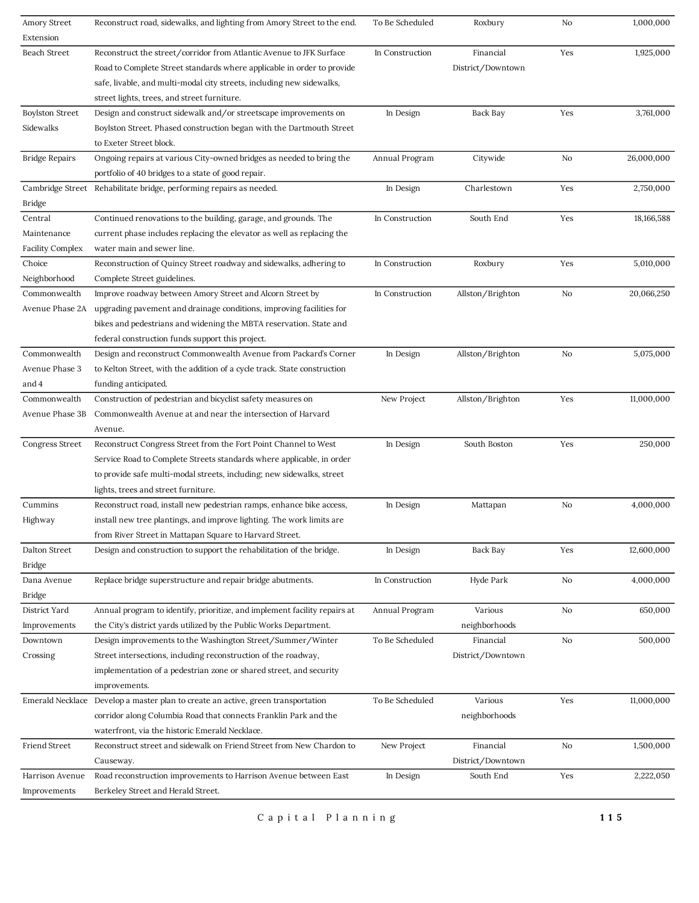| Amory Street            | Reconstruct road, sidewalks, and lighting from Amory Street to the end.          | To Be Scheduled | Roxbury           | No  | 1,000,000  |
|-------------------------|----------------------------------------------------------------------------------|-----------------|-------------------|-----|------------|
| Extension               |                                                                                  |                 |                   |     |            |
| Beach Street            | Reconstruct the street/corridor from Atlantic Avenue to JFK Surface              | In Construction | Financial         | Yes | 1,925,000  |
|                         | Road to Complete Street standards where applicable in order to provide           |                 | District/Downtown |     |            |
|                         | safe, livable, and multi-modal city streets, including new sidewalks,            |                 |                   |     |            |
|                         | street lights, trees, and street furniture.                                      |                 |                   |     |            |
| <b>Boylston Street</b>  | Design and construct sidewalk and/or streetscape improvements on                 | In Design       | Back Bay          | Yes | 3,761,000  |
| Sidewalks               | Boylston Street. Phased construction began with the Dartmouth Street             |                 |                   |     |            |
|                         | to Exeter Street block.                                                          |                 |                   |     |            |
| <b>Bridge Repairs</b>   | Ongoing repairs at various City-owned bridges as needed to bring the             | Annual Program  | Citywide          | No  | 26,000,000 |
|                         | portfolio of 40 bridges to a state of good repair.                               |                 |                   |     |            |
|                         | Cambridge Street Rehabilitate bridge, performing repairs as needed.              | In Design       | Charlestown       | Yes | 2,750,000  |
| Bridge                  |                                                                                  |                 |                   |     |            |
| Central                 | Continued renovations to the building, garage, and grounds. The                  | In Construction | South End         | Yes | 18,166,588 |
| Maintenance             | current phase includes replacing the elevator as well as replacing the           |                 |                   |     |            |
| <b>Facility Complex</b> | water main and sewer line.                                                       |                 |                   |     |            |
| Choice                  | Reconstruction of Quincy Street roadway and sidewalks, adhering to               | In Construction | Roxbury           | Yes | 5,010,000  |
| Neighborhood            | Complete Street guidelines.                                                      |                 |                   |     |            |
| Commonwealth            | Improve roadway between Amory Street and Alcorn Street by                        | In Construction | Allston/Brighton  | No  | 20,066,250 |
| Avenue Phase 2A         | upgrading pavement and drainage conditions, improving facilities for             |                 |                   |     |            |
|                         | bikes and pedestrians and widening the MBTA reservation. State and               |                 |                   |     |            |
|                         | federal construction funds support this project.                                 |                 |                   |     |            |
| Commonwealth            | Design and reconstruct Commonwealth Avenue from Packard's Corner                 | In Design       | Allston/Brighton  | No  | 5,075,000  |
| Avenue Phase 3          | to Kelton Street, with the addition of a cycle track. State construction         |                 |                   |     |            |
| and 4                   | funding anticipated.                                                             |                 |                   |     |            |
| Commonwealth            | Construction of pedestrian and bicyclist safety measures on                      | New Project     | Allston/Brighton  | Yes | 11,000,000 |
| Avenue Phase 3B         | Commonwealth Avenue at and near the intersection of Harvard                      |                 |                   |     |            |
|                         | Avenue.                                                                          |                 |                   |     |            |
| Congress Street         | Reconstruct Congress Street from the Fort Point Channel to West                  | In Design       | South Boston      | Yes | 250,000    |
|                         |                                                                                  |                 |                   |     |            |
|                         | Service Road to Complete Streets standards where applicable, in order            |                 |                   |     |            |
|                         | to provide safe multi-modal streets, including; new sidewalks, street            |                 |                   |     |            |
|                         | lights, trees and street furniture.                                              |                 |                   |     |            |
| Cummins                 | Reconstruct road, install new pedestrian ramps, enhance bike access,             | In Design       | Mattapan          | No  | 4,000,000  |
| Highway                 | install new tree plantings, and improve lighting. The work limits are            |                 |                   |     |            |
|                         | from River Street in Mattapan Square to Harvard Street.                          |                 |                   |     |            |
| Dalton Street           | Design and construction to support the rehabilitation of the bridge.             | In Design       | Back Bay          | Yes | 12,600,000 |
| Bridge                  |                                                                                  |                 |                   |     |            |
| Dana Avenue             | Replace bridge superstructure and repair bridge abutments.                       | In Construction | Hyde Park         | No  | 4,000,000  |
| Bridge                  |                                                                                  |                 |                   |     |            |
| District Yard           | Annual program to identify, prioritize, and implement facility repairs at        | Annual Program  | Various           | No  | 650,000    |
| Improvements            | the City's district yards utilized by the Public Works Department.               |                 | neighborhoods     |     |            |
| Downtown                | Design improvements to the Washington Street/Summer/Winter                       | To Be Scheduled | Financial         | No  | 500,000    |
| Crossing                | Street intersections, including reconstruction of the roadway,                   |                 | District/Downtown |     |            |
|                         | implementation of a pedestrian zone or shared street, and security               |                 |                   |     |            |
|                         | improvements.                                                                    |                 |                   |     |            |
|                         | Emerald Necklace Develop a master plan to create an active, green transportation | To Be Scheduled | Various           | Yes | 11,000,000 |
|                         | corridor along Columbia Road that connects Franklin Park and the                 |                 | neighborhoods     |     |            |
|                         | waterfront, via the historic Emerald Necklace.                                   |                 |                   |     |            |
| Friend Street           | Reconstruct street and sidewalk on Friend Street from New Chardon to             | New Project     | Financial         | No  | 1,500,000  |
|                         | Causeway.                                                                        |                 | District/Downtown |     |            |
| Harrison Avenue         | Road reconstruction improvements to Harrison Avenue between East                 | In Design       | South End         | Yes | 2,222,050  |
| Improvements            | Berkeley Street and Herald Street.                                               |                 |                   |     |            |
|                         |                                                                                  |                 |                   |     |            |

C a p i t a l P l a n n i n g **115**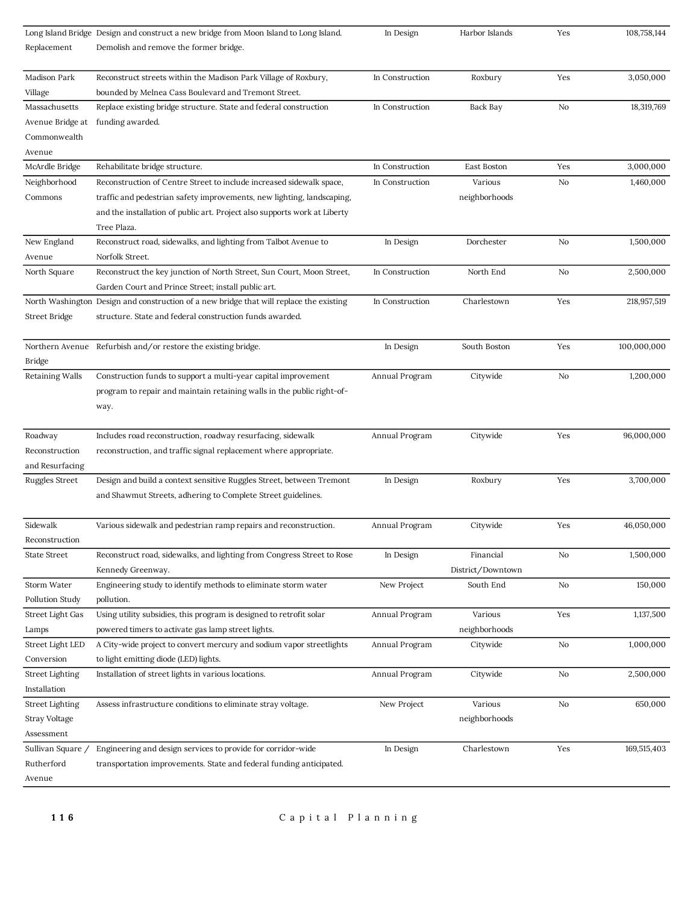|                           | Long Island Bridge Design and construct a new bridge from Moon Island to Long Island.   | In Design       | Harbor Islands    | Yes | 108,758,144 |
|---------------------------|-----------------------------------------------------------------------------------------|-----------------|-------------------|-----|-------------|
| Replacement               | Demolish and remove the former bridge.                                                  |                 |                   |     |             |
| Madison Park              | Reconstruct streets within the Madison Park Village of Roxbury,                         | In Construction | Roxbury           | Yes | 3,050,000   |
| Village                   | bounded by Melnea Cass Boulevard and Tremont Street.                                    |                 |                   |     |             |
| Massachusetts             | Replace existing bridge structure. State and federal construction                       | In Construction | Back Bay          | No  | 18,319,769  |
| Avenue Bridge at          | funding awarded.                                                                        |                 |                   |     |             |
| Commonwealth              |                                                                                         |                 |                   |     |             |
| Avenue                    |                                                                                         |                 |                   |     |             |
| McArdle Bridge            | Rehabilitate bridge structure.                                                          | In Construction | East Boston       | Yes | 3,000,000   |
| Neighborhood              | Reconstruction of Centre Street to include increased sidewalk space,                    | In Construction | Various           | No  | 1,460,000   |
| Commons                   | traffic and pedestrian safety improvements, new lighting, landscaping,                  |                 | neighborhoods     |     |             |
|                           | and the installation of public art. Project also supports work at Liberty               |                 |                   |     |             |
|                           |                                                                                         |                 |                   |     |             |
|                           | Tree Plaza.                                                                             |                 |                   |     |             |
| New England<br>Avenue     | Reconstruct road, sidewalks, and lighting from Talbot Avenue to<br>Norfolk Street.      | In Design       | Dorchester        | No  | 1,500,000   |
| North Square              | Reconstruct the key junction of North Street, Sun Court, Moon Street,                   | In Construction | North End         | No  | 2,500,000   |
|                           | Garden Court and Prince Street; install public art.                                     |                 |                   |     |             |
|                           | North Washington Design and construction of a new bridge that will replace the existing | In Construction | Charlestown       | Yes | 218,957,519 |
| <b>Street Bridge</b>      | structure. State and federal construction funds awarded.                                |                 |                   |     |             |
|                           |                                                                                         |                 |                   |     |             |
|                           | Northern Avenue Refurbish and/or restore the existing bridge.                           | In Design       | South Boston      | Yes | 100,000,000 |
| Bridge                    |                                                                                         |                 |                   |     |             |
| <b>Retaining Walls</b>    | Construction funds to support a multi-year capital improvement                          | Annual Program  | Citywide          | No  | 1,200,000   |
|                           | program to repair and maintain retaining walls in the public right-of-                  |                 |                   |     |             |
|                           | way.                                                                                    |                 |                   |     |             |
|                           |                                                                                         |                 |                   |     |             |
| Roadway                   | Includes road reconstruction, roadway resurfacing, sidewalk                             | Annual Program  | Citywide          | Yes | 96,000,000  |
| Reconstruction            | reconstruction, and traffic signal replacement where appropriate.                       |                 |                   |     |             |
| and Resurfacing           |                                                                                         |                 |                   |     |             |
| <b>Ruggles Street</b>     | Design and build a context sensitive Ruggles Street, between Tremont                    | In Design       | Roxbury           | Yes | 3,700,000   |
|                           | and Shawmut Streets, adhering to Complete Street guidelines.                            |                 |                   |     |             |
|                           |                                                                                         |                 |                   |     |             |
| Sidewalk                  | Various sidewalk and pedestrian ramp repairs and reconstruction.                        | Annual Program  | Citywide          | Yes | 46,050,000  |
| Reconstruction            |                                                                                         |                 |                   |     |             |
| <b>State Street</b>       | Reconstruct road, sidewalks, and lighting from Congress Street to Rose                  | In Design       | Financial         | No  | 1,500,000   |
|                           | Kennedy Greenway.                                                                       |                 | District/Downtown |     |             |
| Storm Water               | Engineering study to identify methods to eliminate storm water                          | New Project     | South End         | No  | 150,000     |
| Pollution Study           | pollution.                                                                              |                 |                   |     |             |
| Street Light Gas          | Using utility subsidies, this program is designed to retrofit solar                     | Annual Program  | Various           | Yes | 1,137,500   |
|                           | powered timers to activate gas lamp street lights.                                      |                 |                   |     |             |
| Lamps<br>Street Light LED |                                                                                         |                 | neighborhoods     |     |             |
|                           | A City-wide project to convert mercury and sodium vapor streetlights                    | Annual Program  | Citywide          | No  | 1,000,000   |
| Conversion                | to light emitting diode (LED) lights.                                                   |                 |                   |     |             |
| <b>Street Lighting</b>    | Installation of street lights in various locations.                                     | Annual Program  | Citywide          | No  | 2,500,000   |
| Installation              |                                                                                         |                 | Various           |     | 650,000     |
|                           |                                                                                         | New Project     |                   | No  |             |
| Street Lighting           | Assess infrastructure conditions to eliminate stray voltage.                            |                 |                   |     |             |
| Stray Voltage             |                                                                                         |                 | neighborhoods     |     |             |
| Assessment                |                                                                                         |                 |                   |     |             |
| Sullivan Square /         | Engineering and design services to provide for corridor-wide                            | In Design       | Charlestown       | Yes | 169,515,403 |
| Rutherford<br>Avenue      | transportation improvements. State and federal funding anticipated.                     |                 |                   |     |             |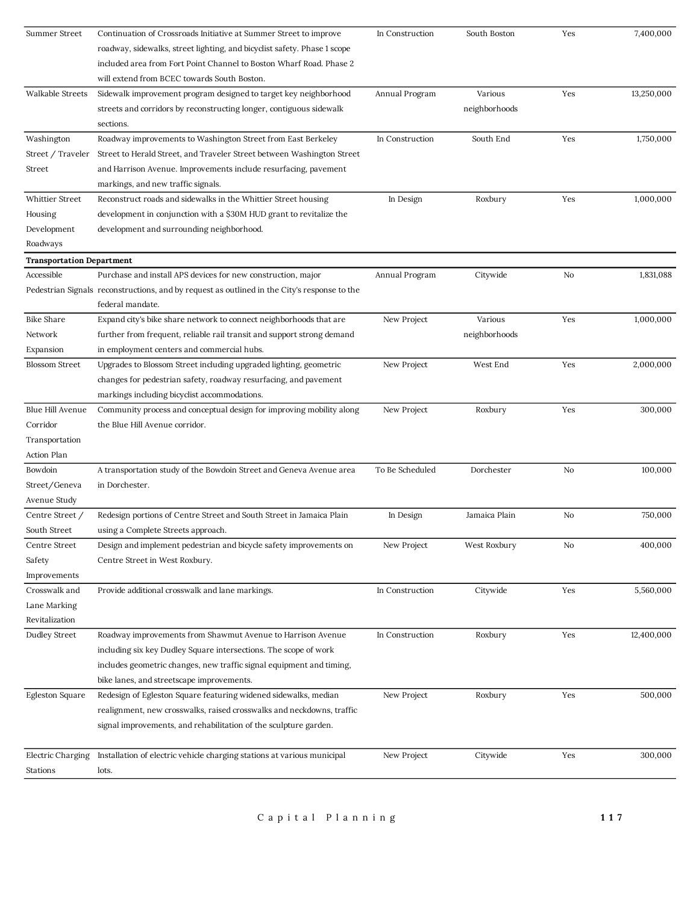| Summer Street                    | Continuation of Crossroads Initiative at Summer Street to improve                            | In Construction | South Boston  | Yes | 7,400,000  |
|----------------------------------|----------------------------------------------------------------------------------------------|-----------------|---------------|-----|------------|
|                                  | roadway, sidewalks, street lighting, and bicyclist safety. Phase 1 scope                     |                 |               |     |            |
|                                  | included area from Fort Point Channel to Boston Wharf Road. Phase 2                          |                 |               |     |            |
|                                  | will extend from BCEC towards South Boston.                                                  |                 |               |     |            |
| Walkable Streets                 | Sidewalk improvement program designed to target key neighborhood                             | Annual Program  | Various       | Yes | 13,250,000 |
|                                  | streets and corridors by reconstructing longer, contiguous sidewalk                          |                 | neighborhoods |     |            |
|                                  | sections.                                                                                    |                 |               |     |            |
| Washington                       | Roadway improvements to Washington Street from East Berkeley                                 | In Construction | South End     | Yes | 1,750,000  |
| Street / Traveler                | Street to Herald Street, and Traveler Street between Washington Street                       |                 |               |     |            |
| Street                           | and Harrison Avenue. Improvements include resurfacing, pavement                              |                 |               |     |            |
|                                  | markings, and new traffic signals.                                                           |                 |               |     |            |
| Whittier Street                  | Reconstruct roads and sidewalks in the Whittier Street housing                               | In Design       | Roxbury       | Yes | 1,000,000  |
| Housing                          | development in conjunction with a \$30M HUD grant to revitalize the                          |                 |               |     |            |
| Development                      | development and surrounding neighborhood.                                                    |                 |               |     |            |
| Roadways                         |                                                                                              |                 |               |     |            |
| <b>Transportation Department</b> |                                                                                              |                 |               |     |            |
| Accessible                       | Purchase and install APS devices for new construction, major                                 | Annual Program  | Citywide      | No  | 1,831,088  |
|                                  | Pedestrian Signals reconstructions, and by request as outlined in the City's response to the |                 |               |     |            |
|                                  | federal mandate.                                                                             |                 |               |     |            |
| <b>Bike Share</b>                | Expand city's bike share network to connect neighborhoods that are                           | New Project     | Various       | Yes | 1,000,000  |
| Network                          | further from frequent, reliable rail transit and support strong demand                       |                 | neighborhoods |     |            |
| Expansion                        | in employment centers and commercial hubs.                                                   |                 |               |     |            |
| <b>Blossom Street</b>            | Upgrades to Blossom Street including upgraded lighting, geometric                            | New Project     | West End      | Yes | 2,000,000  |
|                                  | changes for pedestrian safety, roadway resurfacing, and pavement                             |                 |               |     |            |
|                                  | markings including bicyclist accommodations.                                                 |                 |               |     |            |
| Blue Hill Avenue                 | Community process and conceptual design for improving mobility along                         | New Project     | Roxbury       | Yes | 300,000    |
| Corridor                         | the Blue Hill Avenue corridor.                                                               |                 |               |     |            |
| Transportation                   |                                                                                              |                 |               |     |            |
| Action Plan                      |                                                                                              |                 |               |     |            |
| Bowdoin                          | A transportation study of the Bowdoin Street and Geneva Avenue area                          | To Be Scheduled | Dorchester    | No  | 100,000    |
| Street/Geneva                    | in Dorchester.                                                                               |                 |               |     |            |
| Avenue Study                     |                                                                                              |                 |               |     |            |
| Centre Street /                  | Redesign portions of Centre Street and South Street in Jamaica Plain                         | In Design       | Jamaica Plain | No  | 750,000    |
| South Street                     | using a Complete Streets approach.                                                           |                 |               |     |            |
| Centre Street                    | Design and implement pedestrian and bicycle safety improvements on                           | New Project     | West Roxbury  | No  | 400,000    |
| Safety                           | Centre Street in West Roxbury.                                                               |                 |               |     |            |
| Improvements                     |                                                                                              |                 |               |     |            |
| Crosswalk and                    | Provide additional crosswalk and lane markings.                                              | In Construction | Citywide      | Yes | 5,560,000  |
| Lane Marking                     |                                                                                              |                 |               |     |            |
| Revitalization                   |                                                                                              |                 |               |     |            |
| Dudley Street                    | Roadway improvements from Shawmut Avenue to Harrison Avenue                                  | In Construction | Roxbury       | Yes | 12,400,000 |
|                                  | including six key Dudley Square intersections. The scope of work                             |                 |               |     |            |
|                                  | includes geometric changes, new traffic signal equipment and timing,                         |                 |               |     |            |
|                                  | bike lanes, and streetscape improvements.                                                    |                 |               |     |            |
| Egleston Square                  | Redesign of Egleston Square featuring widened sidewalks, median                              | New Project     | Roxbury       | Yes | 500,000    |
|                                  | realignment, new crosswalks, raised crosswalks and neckdowns, traffic                        |                 |               |     |            |
|                                  | signal improvements, and rehabilitation of the sculpture garden.                             |                 |               |     |            |
|                                  |                                                                                              |                 |               |     |            |
| Electric Charging                | Installation of electric vehicle charging stations at various municipal                      | New Project     | Citywide      | Yes | 300,000    |
| Stations                         | lots.                                                                                        |                 |               |     |            |
|                                  |                                                                                              |                 |               |     |            |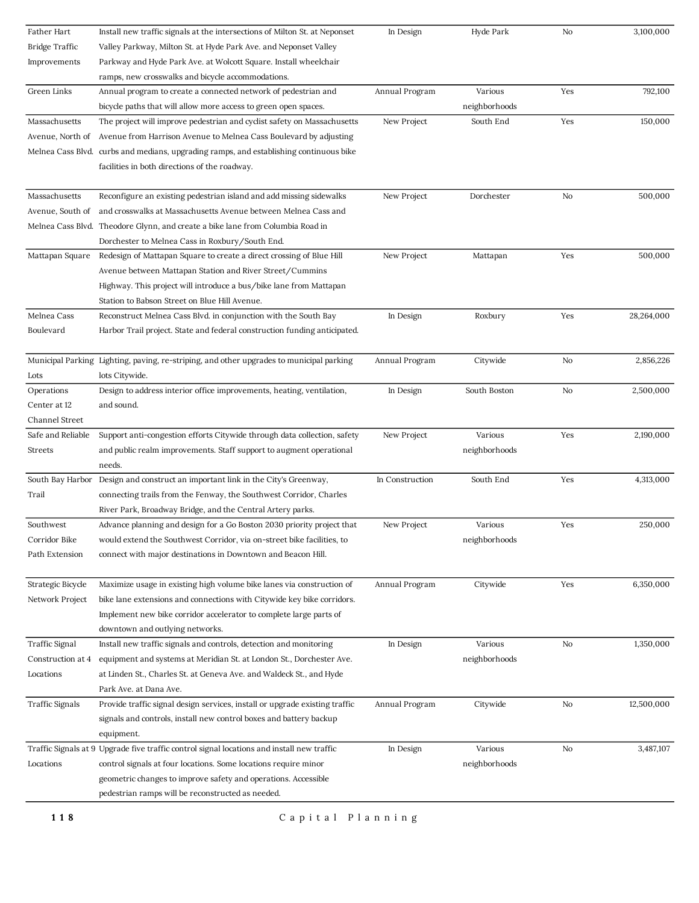| Father Hart            | Install new traffic signals at the intersections of Milton St. at Neponset                 | In Design       | Hyde Park     | No  | 3,100,000  |
|------------------------|--------------------------------------------------------------------------------------------|-----------------|---------------|-----|------------|
| Bridge Traffic         | Valley Parkway, Milton St. at Hyde Park Ave. and Neponset Valley                           |                 |               |     |            |
| Improvements           | Parkway and Hyde Park Ave. at Wolcott Square. Install wheelchair                           |                 |               |     |            |
|                        | ramps, new crosswalks and bicycle accommodations.                                          |                 |               |     |            |
| Green Links            | Annual program to create a connected network of pedestrian and                             | Annual Program  | Various       | Yes | 792,100    |
|                        | bicycle paths that will allow more access to green open spaces.                            |                 | neighborhoods |     |            |
| Massachusetts          | The project will improve pedestrian and cyclist safety on Massachusetts                    | New Project     | South End     | Yes | 150,000    |
| Avenue, North of       | Avenue from Harrison Avenue to Melnea Cass Boulevard by adjusting                          |                 |               |     |            |
|                        | Melnea Cass Blvd. curbs and medians, upgrading ramps, and establishing continuous bike     |                 |               |     |            |
|                        | facilities in both directions of the roadway.                                              |                 |               |     |            |
|                        |                                                                                            |                 |               |     |            |
| Massachusetts          | Reconfigure an existing pedestrian island and add missing sidewalks                        | New Project     | Dorchester    | No  | 500,000    |
| Avenue, South of       | and crosswalks at Massachusetts Avenue between Melnea Cass and                             |                 |               |     |            |
| Melnea Cass Blvd.      | Theodore Glynn, and create a bike lane from Columbia Road in                               |                 |               |     |            |
|                        | Dorchester to Melnea Cass in Roxbury/South End.                                            |                 |               |     |            |
| Mattapan Square        | Redesign of Mattapan Square to create a direct crossing of Blue Hill                       | New Project     | Mattapan      | Yes | 500,000    |
|                        | Avenue between Mattapan Station and River Street/Cummins                                   |                 |               |     |            |
|                        | Highway. This project will introduce a bus/bike lane from Mattapan                         |                 |               |     |            |
|                        | Station to Babson Street on Blue Hill Avenue.                                              |                 |               |     |            |
| Melnea Cass            | Reconstruct Melnea Cass Blvd. in conjunction with the South Bay                            | In Design       | Roxbury       | Yes | 28,264,000 |
| Boulevard              | Harbor Trail project. State and federal construction funding anticipated.                  |                 |               |     |            |
|                        |                                                                                            |                 |               |     |            |
|                        | Municipal Parking Lighting, paving, re-striping, and other upgrades to municipal parking   | Annual Program  | Citywide      | No  | 2,856,226  |
| Lots                   | lots Citywide.                                                                             |                 |               |     |            |
| Operations             | Design to address interior office improvements, heating, ventilation,                      | In Design       | South Boston  | No  | 2,500,000  |
| Center at 12           | and sound.                                                                                 |                 |               |     |            |
| Channel Street         |                                                                                            |                 |               |     |            |
| Safe and Reliable      | Support anti-congestion efforts Citywide through data collection, safety                   | New Project     | Various       | Yes | 2,190,000  |
| Streets                | and public realm improvements. Staff support to augment operational                        |                 | neighborhoods |     |            |
|                        | needs.                                                                                     |                 |               |     |            |
| South Bay Harbor       | Design and construct an important link in the City's Greenway,                             | In Construction | South End     | Yes | 4,313,000  |
| Trail                  | connecting trails from the Fenway, the Southwest Corridor, Charles                         |                 |               |     |            |
|                        | River Park, Broadway Bridge, and the Central Artery parks.                                 |                 |               |     |            |
| Southwest              | Advance planning and design for a Go Boston 2030 priority project that                     | New Project     | Various       | Yes | 250,000    |
| Corridor Bike          | would extend the Southwest Corridor, via on-street bike facilities, to                     |                 | neighborhoods |     |            |
| Path Extension         | connect with major destinations in Downtown and Beacon Hill.                               |                 |               |     |            |
|                        |                                                                                            |                 |               |     |            |
| Strategic Bicycle      | Maximize usage in existing high volume bike lanes via construction of                      | Annual Program  | Citywide      | Yes | 6,350,000  |
| Network Project        | bike lane extensions and connections with Citywide key bike corridors.                     |                 |               |     |            |
|                        | Implement new bike corridor accelerator to complete large parts of                         |                 |               |     |            |
|                        | downtown and outlying networks.                                                            |                 |               |     |            |
| <b>Traffic Signal</b>  | Install new traffic signals and controls, detection and monitoring                         | In Design       | Various       | No  | 1,350,000  |
| Construction at 4      | equipment and systems at Meridian St. at London St., Dorchester Ave.                       |                 | neighborhoods |     |            |
| Locations              | at Linden St., Charles St. at Geneva Ave. and Waldeck St., and Hyde                        |                 |               |     |            |
|                        | Park Ave. at Dana Ave.                                                                     |                 |               |     |            |
| <b>Traffic Signals</b> | Provide traffic signal design services, install or upgrade existing traffic                | Annual Program  | Citywide      | No  | 12,500,000 |
|                        | signals and controls, install new control boxes and battery backup                         |                 |               |     |            |
|                        | equipment.                                                                                 |                 |               |     |            |
|                        |                                                                                            |                 |               |     |            |
|                        | Traffic Signals at 9 Upgrade five traffic control signal locations and install new traffic | In Design       | Various       | No  | 3,487,107  |
| Locations              | control signals at four locations. Some locations require minor                            |                 | neighborhoods |     |            |
|                        | geometric changes to improve safety and operations. Accessible                             |                 |               |     |            |
|                        | pedestrian ramps will be reconstructed as needed.                                          |                 |               |     |            |
| 118                    | Capital Planning                                                                           |                 |               |     |            |